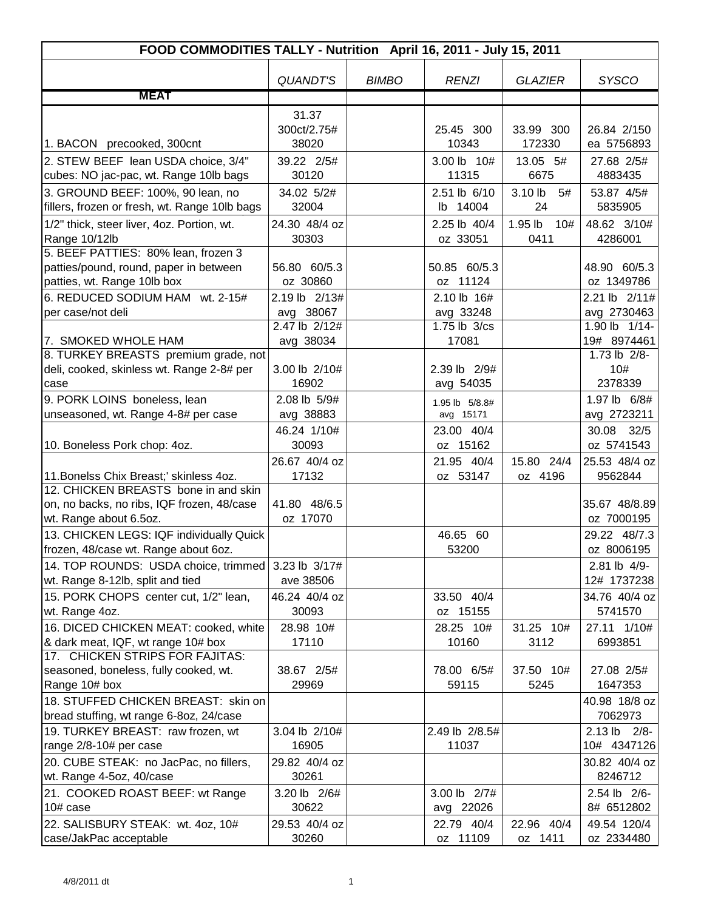| <b>SYSCO</b><br><b>QUANDT'S</b><br><b>BIMBO</b><br><b>GLAZIER</b><br><b>RENZI</b><br><b>MEAT</b><br>31.37<br>300ct/2.75#<br>26.84 2/150<br>25.45 300<br>33.99 300<br>38020<br>10343<br>172330<br>1. BACON precooked, 300cnt<br>ea 5756893<br>2. STEW BEEF lean USDA choice, 3/4"<br>39.22 2/5#<br>3.00 lb 10#<br>13.05 5#<br>27.68 2/5#<br>cubes: NO jac-pac, wt. Range 10lb bags<br>30120<br>11315<br>6675<br>4883435<br>3. GROUND BEEF: 100%, 90 lean, no<br>34.02 5/2#<br>2.51 lb 6/10<br>3.10 lb<br>5#<br>53.87 4/5#<br>fillers, frozen or fresh, wt. Range 10lb bags<br>32004<br>14004<br>24<br>5835905<br>lb<br>24.30 48/4 oz<br>1.95 lb<br>48.62 3/10#<br>1/2" thick, steer liver, 4oz. Portion, wt.<br>2.25 lb 40/4<br>10#<br>Range 10/12lb<br>30303<br>oz 33051<br>0411<br>4286001<br>5. BEEF PATTIES: 80% lean, frozen 3<br>50.85 60/5.3<br>48.90 60/5.3<br>patties/pound, round, paper in between<br>56.80 60/5.3<br>oz 30860<br>oz 11124<br>oz 1349786<br>patties, wt. Range 10lb box<br>6. REDUCED SODIUM HAM wt. 2-15#<br>2.19 lb 2/13#<br>2.10 lb 16#<br>per case/not deli<br>avg 38067<br>avg 33248<br>avg 2730463<br>1.90 lb 1/14-<br>2.47 lb 2/12#<br>1.75 lb 3/cs<br>7. SMOKED WHOLE HAM<br>17081<br>avg 38034<br>8. TURKEY BREASTS premium grade, not<br>1.73 lb 2/8-<br>deli, cooked, skinless wt. Range 2-8# per<br>10#<br>3.00 lb 2/10#<br>2.39 lb 2/9#<br>16902<br>2378339<br>avg 54035<br>case<br>9. PORK LOINS boneless, lean<br>2.08 lb 5/9#<br>1.97 lb 6/8#<br>1.95 lb 5/8.8#<br>unseasoned, wt. Range 4-8# per case<br>avg 38883<br>avg 2723211<br>avg 15171<br>46.24 1/10#<br>30.08 32/5<br>23.00 40/4<br>30093<br>oz 15162<br>10. Boneless Pork chop: 4oz.<br>oz 5741543<br>15.80 24/4<br>26.67 40/4 oz<br>21.95 40/4<br>17132<br>11. Bonelss Chix Breast;' skinless 4oz.<br>oz 53147<br>oz 4196<br>9562844<br>12. CHICKEN BREASTS bone in and skin<br>41.80 48/6.5<br>on, no backs, no ribs, IQF frozen, 48/case<br>wt. Range about 6.5oz.<br>oz 17070<br>oz 7000195<br>13. CHICKEN LEGS: IQF individually Quick<br>29.22 48/7.3<br>46.65 60<br>frozen, 48/case wt. Range about 6oz.<br>53200<br>oz 8006195<br>14. TOP ROUNDS: USDA choice, trimmed<br>2.81 lb 4/9-<br>3.23 lb 3/17#<br>wt. Range 8-12lb, split and tied<br>ave 38506<br>12# 1737238<br>15. PORK CHOPS center cut, 1/2" lean,<br>46.24 40/4 oz<br>33.50 40/4<br>oz 15155<br>30093<br>5741570<br>wt. Range 4oz.<br>16. DICED CHICKEN MEAT: cooked, white<br>28.98 10#<br>28.25 10#<br>31.25 10#<br>27.11 1/10#<br>& dark meat, IQF, wt range 10# box<br>17110<br>10160<br>3112<br>6993851<br>17. CHICKEN STRIPS FOR FAJITAS:<br>37.50 10#<br>seasoned, boneless, fully cooked, wt.<br>38.67 2/5#<br>78.00 6/5#<br>27.08 2/5#<br>Range 10# box<br>29969<br>59115<br>1647353<br>5245<br>18. STUFFED CHICKEN BREAST: skin on<br>bread stuffing, wt range 6-8oz, 24/case<br>7062973<br>19. TURKEY BREAST: raw frozen, wt<br>2.49 lb 2/8.5#<br>$2.13$ lb<br>$2/8-$<br>3.04 lb 2/10#<br>16905<br>11037<br>range 2/8-10# per case<br>20. CUBE STEAK: no JacPac, no fillers,<br>29.82 40/4 oz<br>8246712<br>wt. Range 4-5oz, 40/case<br>30261<br>3.00 lb 2/7#<br>21. COOKED ROAST BEEF: wt Range<br>3.20 lb 2/6#<br>2.54 lb 2/6-<br>10# case<br>30622<br>avg 22026<br>8# 6512802<br>22. SALISBURY STEAK: wt. 4oz, 10#<br>29.53 40/4 oz<br>22.79 40/4<br>22.96 40/4<br>49.54 120/4<br>30260<br>oz 2334480<br>case/JakPac acceptable<br>oz 11109<br>oz 1411 | FOOD COMMODITIES TALLY - Nutrition April 16, 2011 - July 15, 2011 |  |  |  |  |  |
|--------------------------------------------------------------------------------------------------------------------------------------------------------------------------------------------------------------------------------------------------------------------------------------------------------------------------------------------------------------------------------------------------------------------------------------------------------------------------------------------------------------------------------------------------------------------------------------------------------------------------------------------------------------------------------------------------------------------------------------------------------------------------------------------------------------------------------------------------------------------------------------------------------------------------------------------------------------------------------------------------------------------------------------------------------------------------------------------------------------------------------------------------------------------------------------------------------------------------------------------------------------------------------------------------------------------------------------------------------------------------------------------------------------------------------------------------------------------------------------------------------------------------------------------------------------------------------------------------------------------------------------------------------------------------------------------------------------------------------------------------------------------------------------------------------------------------------------------------------------------------------------------------------------------------------------------------------------------------------------------------------------------------------------------------------------------------------------------------------------------------------------------------------------------------------------------------------------------------------------------------------------------------------------------------------------------------------------------------------------------------------------------------------------------------------------------------------------------------------------------------------------------------------------------------------------------------------------------------------------------------------------------------------------------------------------------------------------------------------------------------------------------------------------------------------------------------------------------------------------------------------------------------------------------------------------------------------------------------------------------------------------------------------------------------------------------------------------------------------------------------------------------------------------------------------------------------------------------------------------------------------------------------------------------------------------------------------------------------------------------------------------------------------------------------------------------------|-------------------------------------------------------------------|--|--|--|--|--|
|                                                                                                                                                                                                                                                                                                                                                                                                                                                                                                                                                                                                                                                                                                                                                                                                                                                                                                                                                                                                                                                                                                                                                                                                                                                                                                                                                                                                                                                                                                                                                                                                                                                                                                                                                                                                                                                                                                                                                                                                                                                                                                                                                                                                                                                                                                                                                                                                                                                                                                                                                                                                                                                                                                                                                                                                                                                                                                                                                                                                                                                                                                                                                                                                                                                                                                                                                                                                                                                  |                                                                   |  |  |  |  |  |
|                                                                                                                                                                                                                                                                                                                                                                                                                                                                                                                                                                                                                                                                                                                                                                                                                                                                                                                                                                                                                                                                                                                                                                                                                                                                                                                                                                                                                                                                                                                                                                                                                                                                                                                                                                                                                                                                                                                                                                                                                                                                                                                                                                                                                                                                                                                                                                                                                                                                                                                                                                                                                                                                                                                                                                                                                                                                                                                                                                                                                                                                                                                                                                                                                                                                                                                                                                                                                                                  |                                                                   |  |  |  |  |  |
|                                                                                                                                                                                                                                                                                                                                                                                                                                                                                                                                                                                                                                                                                                                                                                                                                                                                                                                                                                                                                                                                                                                                                                                                                                                                                                                                                                                                                                                                                                                                                                                                                                                                                                                                                                                                                                                                                                                                                                                                                                                                                                                                                                                                                                                                                                                                                                                                                                                                                                                                                                                                                                                                                                                                                                                                                                                                                                                                                                                                                                                                                                                                                                                                                                                                                                                                                                                                                                                  |                                                                   |  |  |  |  |  |
|                                                                                                                                                                                                                                                                                                                                                                                                                                                                                                                                                                                                                                                                                                                                                                                                                                                                                                                                                                                                                                                                                                                                                                                                                                                                                                                                                                                                                                                                                                                                                                                                                                                                                                                                                                                                                                                                                                                                                                                                                                                                                                                                                                                                                                                                                                                                                                                                                                                                                                                                                                                                                                                                                                                                                                                                                                                                                                                                                                                                                                                                                                                                                                                                                                                                                                                                                                                                                                                  |                                                                   |  |  |  |  |  |
|                                                                                                                                                                                                                                                                                                                                                                                                                                                                                                                                                                                                                                                                                                                                                                                                                                                                                                                                                                                                                                                                                                                                                                                                                                                                                                                                                                                                                                                                                                                                                                                                                                                                                                                                                                                                                                                                                                                                                                                                                                                                                                                                                                                                                                                                                                                                                                                                                                                                                                                                                                                                                                                                                                                                                                                                                                                                                                                                                                                                                                                                                                                                                                                                                                                                                                                                                                                                                                                  |                                                                   |  |  |  |  |  |
| 2.21 lb 2/11#<br>19# 8974461<br>25.53 48/4 oz<br>35.67 48/8.89<br>34.76 40/4 oz<br>40.98 18/8 oz<br>10# 4347126<br>30.82 40/4 oz                                                                                                                                                                                                                                                                                                                                                                                                                                                                                                                                                                                                                                                                                                                                                                                                                                                                                                                                                                                                                                                                                                                                                                                                                                                                                                                                                                                                                                                                                                                                                                                                                                                                                                                                                                                                                                                                                                                                                                                                                                                                                                                                                                                                                                                                                                                                                                                                                                                                                                                                                                                                                                                                                                                                                                                                                                                                                                                                                                                                                                                                                                                                                                                                                                                                                                                 |                                                                   |  |  |  |  |  |
|                                                                                                                                                                                                                                                                                                                                                                                                                                                                                                                                                                                                                                                                                                                                                                                                                                                                                                                                                                                                                                                                                                                                                                                                                                                                                                                                                                                                                                                                                                                                                                                                                                                                                                                                                                                                                                                                                                                                                                                                                                                                                                                                                                                                                                                                                                                                                                                                                                                                                                                                                                                                                                                                                                                                                                                                                                                                                                                                                                                                                                                                                                                                                                                                                                                                                                                                                                                                                                                  |                                                                   |  |  |  |  |  |
|                                                                                                                                                                                                                                                                                                                                                                                                                                                                                                                                                                                                                                                                                                                                                                                                                                                                                                                                                                                                                                                                                                                                                                                                                                                                                                                                                                                                                                                                                                                                                                                                                                                                                                                                                                                                                                                                                                                                                                                                                                                                                                                                                                                                                                                                                                                                                                                                                                                                                                                                                                                                                                                                                                                                                                                                                                                                                                                                                                                                                                                                                                                                                                                                                                                                                                                                                                                                                                                  |                                                                   |  |  |  |  |  |
|                                                                                                                                                                                                                                                                                                                                                                                                                                                                                                                                                                                                                                                                                                                                                                                                                                                                                                                                                                                                                                                                                                                                                                                                                                                                                                                                                                                                                                                                                                                                                                                                                                                                                                                                                                                                                                                                                                                                                                                                                                                                                                                                                                                                                                                                                                                                                                                                                                                                                                                                                                                                                                                                                                                                                                                                                                                                                                                                                                                                                                                                                                                                                                                                                                                                                                                                                                                                                                                  |                                                                   |  |  |  |  |  |
|                                                                                                                                                                                                                                                                                                                                                                                                                                                                                                                                                                                                                                                                                                                                                                                                                                                                                                                                                                                                                                                                                                                                                                                                                                                                                                                                                                                                                                                                                                                                                                                                                                                                                                                                                                                                                                                                                                                                                                                                                                                                                                                                                                                                                                                                                                                                                                                                                                                                                                                                                                                                                                                                                                                                                                                                                                                                                                                                                                                                                                                                                                                                                                                                                                                                                                                                                                                                                                                  |                                                                   |  |  |  |  |  |
|                                                                                                                                                                                                                                                                                                                                                                                                                                                                                                                                                                                                                                                                                                                                                                                                                                                                                                                                                                                                                                                                                                                                                                                                                                                                                                                                                                                                                                                                                                                                                                                                                                                                                                                                                                                                                                                                                                                                                                                                                                                                                                                                                                                                                                                                                                                                                                                                                                                                                                                                                                                                                                                                                                                                                                                                                                                                                                                                                                                                                                                                                                                                                                                                                                                                                                                                                                                                                                                  |                                                                   |  |  |  |  |  |
|                                                                                                                                                                                                                                                                                                                                                                                                                                                                                                                                                                                                                                                                                                                                                                                                                                                                                                                                                                                                                                                                                                                                                                                                                                                                                                                                                                                                                                                                                                                                                                                                                                                                                                                                                                                                                                                                                                                                                                                                                                                                                                                                                                                                                                                                                                                                                                                                                                                                                                                                                                                                                                                                                                                                                                                                                                                                                                                                                                                                                                                                                                                                                                                                                                                                                                                                                                                                                                                  |                                                                   |  |  |  |  |  |
|                                                                                                                                                                                                                                                                                                                                                                                                                                                                                                                                                                                                                                                                                                                                                                                                                                                                                                                                                                                                                                                                                                                                                                                                                                                                                                                                                                                                                                                                                                                                                                                                                                                                                                                                                                                                                                                                                                                                                                                                                                                                                                                                                                                                                                                                                                                                                                                                                                                                                                                                                                                                                                                                                                                                                                                                                                                                                                                                                                                                                                                                                                                                                                                                                                                                                                                                                                                                                                                  |                                                                   |  |  |  |  |  |
|                                                                                                                                                                                                                                                                                                                                                                                                                                                                                                                                                                                                                                                                                                                                                                                                                                                                                                                                                                                                                                                                                                                                                                                                                                                                                                                                                                                                                                                                                                                                                                                                                                                                                                                                                                                                                                                                                                                                                                                                                                                                                                                                                                                                                                                                                                                                                                                                                                                                                                                                                                                                                                                                                                                                                                                                                                                                                                                                                                                                                                                                                                                                                                                                                                                                                                                                                                                                                                                  |                                                                   |  |  |  |  |  |
|                                                                                                                                                                                                                                                                                                                                                                                                                                                                                                                                                                                                                                                                                                                                                                                                                                                                                                                                                                                                                                                                                                                                                                                                                                                                                                                                                                                                                                                                                                                                                                                                                                                                                                                                                                                                                                                                                                                                                                                                                                                                                                                                                                                                                                                                                                                                                                                                                                                                                                                                                                                                                                                                                                                                                                                                                                                                                                                                                                                                                                                                                                                                                                                                                                                                                                                                                                                                                                                  |                                                                   |  |  |  |  |  |
|                                                                                                                                                                                                                                                                                                                                                                                                                                                                                                                                                                                                                                                                                                                                                                                                                                                                                                                                                                                                                                                                                                                                                                                                                                                                                                                                                                                                                                                                                                                                                                                                                                                                                                                                                                                                                                                                                                                                                                                                                                                                                                                                                                                                                                                                                                                                                                                                                                                                                                                                                                                                                                                                                                                                                                                                                                                                                                                                                                                                                                                                                                                                                                                                                                                                                                                                                                                                                                                  |                                                                   |  |  |  |  |  |
|                                                                                                                                                                                                                                                                                                                                                                                                                                                                                                                                                                                                                                                                                                                                                                                                                                                                                                                                                                                                                                                                                                                                                                                                                                                                                                                                                                                                                                                                                                                                                                                                                                                                                                                                                                                                                                                                                                                                                                                                                                                                                                                                                                                                                                                                                                                                                                                                                                                                                                                                                                                                                                                                                                                                                                                                                                                                                                                                                                                                                                                                                                                                                                                                                                                                                                                                                                                                                                                  |                                                                   |  |  |  |  |  |
|                                                                                                                                                                                                                                                                                                                                                                                                                                                                                                                                                                                                                                                                                                                                                                                                                                                                                                                                                                                                                                                                                                                                                                                                                                                                                                                                                                                                                                                                                                                                                                                                                                                                                                                                                                                                                                                                                                                                                                                                                                                                                                                                                                                                                                                                                                                                                                                                                                                                                                                                                                                                                                                                                                                                                                                                                                                                                                                                                                                                                                                                                                                                                                                                                                                                                                                                                                                                                                                  |                                                                   |  |  |  |  |  |
|                                                                                                                                                                                                                                                                                                                                                                                                                                                                                                                                                                                                                                                                                                                                                                                                                                                                                                                                                                                                                                                                                                                                                                                                                                                                                                                                                                                                                                                                                                                                                                                                                                                                                                                                                                                                                                                                                                                                                                                                                                                                                                                                                                                                                                                                                                                                                                                                                                                                                                                                                                                                                                                                                                                                                                                                                                                                                                                                                                                                                                                                                                                                                                                                                                                                                                                                                                                                                                                  |                                                                   |  |  |  |  |  |
|                                                                                                                                                                                                                                                                                                                                                                                                                                                                                                                                                                                                                                                                                                                                                                                                                                                                                                                                                                                                                                                                                                                                                                                                                                                                                                                                                                                                                                                                                                                                                                                                                                                                                                                                                                                                                                                                                                                                                                                                                                                                                                                                                                                                                                                                                                                                                                                                                                                                                                                                                                                                                                                                                                                                                                                                                                                                                                                                                                                                                                                                                                                                                                                                                                                                                                                                                                                                                                                  |                                                                   |  |  |  |  |  |
|                                                                                                                                                                                                                                                                                                                                                                                                                                                                                                                                                                                                                                                                                                                                                                                                                                                                                                                                                                                                                                                                                                                                                                                                                                                                                                                                                                                                                                                                                                                                                                                                                                                                                                                                                                                                                                                                                                                                                                                                                                                                                                                                                                                                                                                                                                                                                                                                                                                                                                                                                                                                                                                                                                                                                                                                                                                                                                                                                                                                                                                                                                                                                                                                                                                                                                                                                                                                                                                  |                                                                   |  |  |  |  |  |
|                                                                                                                                                                                                                                                                                                                                                                                                                                                                                                                                                                                                                                                                                                                                                                                                                                                                                                                                                                                                                                                                                                                                                                                                                                                                                                                                                                                                                                                                                                                                                                                                                                                                                                                                                                                                                                                                                                                                                                                                                                                                                                                                                                                                                                                                                                                                                                                                                                                                                                                                                                                                                                                                                                                                                                                                                                                                                                                                                                                                                                                                                                                                                                                                                                                                                                                                                                                                                                                  |                                                                   |  |  |  |  |  |
|                                                                                                                                                                                                                                                                                                                                                                                                                                                                                                                                                                                                                                                                                                                                                                                                                                                                                                                                                                                                                                                                                                                                                                                                                                                                                                                                                                                                                                                                                                                                                                                                                                                                                                                                                                                                                                                                                                                                                                                                                                                                                                                                                                                                                                                                                                                                                                                                                                                                                                                                                                                                                                                                                                                                                                                                                                                                                                                                                                                                                                                                                                                                                                                                                                                                                                                                                                                                                                                  |                                                                   |  |  |  |  |  |
|                                                                                                                                                                                                                                                                                                                                                                                                                                                                                                                                                                                                                                                                                                                                                                                                                                                                                                                                                                                                                                                                                                                                                                                                                                                                                                                                                                                                                                                                                                                                                                                                                                                                                                                                                                                                                                                                                                                                                                                                                                                                                                                                                                                                                                                                                                                                                                                                                                                                                                                                                                                                                                                                                                                                                                                                                                                                                                                                                                                                                                                                                                                                                                                                                                                                                                                                                                                                                                                  |                                                                   |  |  |  |  |  |
|                                                                                                                                                                                                                                                                                                                                                                                                                                                                                                                                                                                                                                                                                                                                                                                                                                                                                                                                                                                                                                                                                                                                                                                                                                                                                                                                                                                                                                                                                                                                                                                                                                                                                                                                                                                                                                                                                                                                                                                                                                                                                                                                                                                                                                                                                                                                                                                                                                                                                                                                                                                                                                                                                                                                                                                                                                                                                                                                                                                                                                                                                                                                                                                                                                                                                                                                                                                                                                                  |                                                                   |  |  |  |  |  |
|                                                                                                                                                                                                                                                                                                                                                                                                                                                                                                                                                                                                                                                                                                                                                                                                                                                                                                                                                                                                                                                                                                                                                                                                                                                                                                                                                                                                                                                                                                                                                                                                                                                                                                                                                                                                                                                                                                                                                                                                                                                                                                                                                                                                                                                                                                                                                                                                                                                                                                                                                                                                                                                                                                                                                                                                                                                                                                                                                                                                                                                                                                                                                                                                                                                                                                                                                                                                                                                  |                                                                   |  |  |  |  |  |
|                                                                                                                                                                                                                                                                                                                                                                                                                                                                                                                                                                                                                                                                                                                                                                                                                                                                                                                                                                                                                                                                                                                                                                                                                                                                                                                                                                                                                                                                                                                                                                                                                                                                                                                                                                                                                                                                                                                                                                                                                                                                                                                                                                                                                                                                                                                                                                                                                                                                                                                                                                                                                                                                                                                                                                                                                                                                                                                                                                                                                                                                                                                                                                                                                                                                                                                                                                                                                                                  |                                                                   |  |  |  |  |  |
|                                                                                                                                                                                                                                                                                                                                                                                                                                                                                                                                                                                                                                                                                                                                                                                                                                                                                                                                                                                                                                                                                                                                                                                                                                                                                                                                                                                                                                                                                                                                                                                                                                                                                                                                                                                                                                                                                                                                                                                                                                                                                                                                                                                                                                                                                                                                                                                                                                                                                                                                                                                                                                                                                                                                                                                                                                                                                                                                                                                                                                                                                                                                                                                                                                                                                                                                                                                                                                                  |                                                                   |  |  |  |  |  |
|                                                                                                                                                                                                                                                                                                                                                                                                                                                                                                                                                                                                                                                                                                                                                                                                                                                                                                                                                                                                                                                                                                                                                                                                                                                                                                                                                                                                                                                                                                                                                                                                                                                                                                                                                                                                                                                                                                                                                                                                                                                                                                                                                                                                                                                                                                                                                                                                                                                                                                                                                                                                                                                                                                                                                                                                                                                                                                                                                                                                                                                                                                                                                                                                                                                                                                                                                                                                                                                  |                                                                   |  |  |  |  |  |
|                                                                                                                                                                                                                                                                                                                                                                                                                                                                                                                                                                                                                                                                                                                                                                                                                                                                                                                                                                                                                                                                                                                                                                                                                                                                                                                                                                                                                                                                                                                                                                                                                                                                                                                                                                                                                                                                                                                                                                                                                                                                                                                                                                                                                                                                                                                                                                                                                                                                                                                                                                                                                                                                                                                                                                                                                                                                                                                                                                                                                                                                                                                                                                                                                                                                                                                                                                                                                                                  |                                                                   |  |  |  |  |  |
|                                                                                                                                                                                                                                                                                                                                                                                                                                                                                                                                                                                                                                                                                                                                                                                                                                                                                                                                                                                                                                                                                                                                                                                                                                                                                                                                                                                                                                                                                                                                                                                                                                                                                                                                                                                                                                                                                                                                                                                                                                                                                                                                                                                                                                                                                                                                                                                                                                                                                                                                                                                                                                                                                                                                                                                                                                                                                                                                                                                                                                                                                                                                                                                                                                                                                                                                                                                                                                                  |                                                                   |  |  |  |  |  |
|                                                                                                                                                                                                                                                                                                                                                                                                                                                                                                                                                                                                                                                                                                                                                                                                                                                                                                                                                                                                                                                                                                                                                                                                                                                                                                                                                                                                                                                                                                                                                                                                                                                                                                                                                                                                                                                                                                                                                                                                                                                                                                                                                                                                                                                                                                                                                                                                                                                                                                                                                                                                                                                                                                                                                                                                                                                                                                                                                                                                                                                                                                                                                                                                                                                                                                                                                                                                                                                  |                                                                   |  |  |  |  |  |
|                                                                                                                                                                                                                                                                                                                                                                                                                                                                                                                                                                                                                                                                                                                                                                                                                                                                                                                                                                                                                                                                                                                                                                                                                                                                                                                                                                                                                                                                                                                                                                                                                                                                                                                                                                                                                                                                                                                                                                                                                                                                                                                                                                                                                                                                                                                                                                                                                                                                                                                                                                                                                                                                                                                                                                                                                                                                                                                                                                                                                                                                                                                                                                                                                                                                                                                                                                                                                                                  |                                                                   |  |  |  |  |  |
|                                                                                                                                                                                                                                                                                                                                                                                                                                                                                                                                                                                                                                                                                                                                                                                                                                                                                                                                                                                                                                                                                                                                                                                                                                                                                                                                                                                                                                                                                                                                                                                                                                                                                                                                                                                                                                                                                                                                                                                                                                                                                                                                                                                                                                                                                                                                                                                                                                                                                                                                                                                                                                                                                                                                                                                                                                                                                                                                                                                                                                                                                                                                                                                                                                                                                                                                                                                                                                                  |                                                                   |  |  |  |  |  |
|                                                                                                                                                                                                                                                                                                                                                                                                                                                                                                                                                                                                                                                                                                                                                                                                                                                                                                                                                                                                                                                                                                                                                                                                                                                                                                                                                                                                                                                                                                                                                                                                                                                                                                                                                                                                                                                                                                                                                                                                                                                                                                                                                                                                                                                                                                                                                                                                                                                                                                                                                                                                                                                                                                                                                                                                                                                                                                                                                                                                                                                                                                                                                                                                                                                                                                                                                                                                                                                  |                                                                   |  |  |  |  |  |
|                                                                                                                                                                                                                                                                                                                                                                                                                                                                                                                                                                                                                                                                                                                                                                                                                                                                                                                                                                                                                                                                                                                                                                                                                                                                                                                                                                                                                                                                                                                                                                                                                                                                                                                                                                                                                                                                                                                                                                                                                                                                                                                                                                                                                                                                                                                                                                                                                                                                                                                                                                                                                                                                                                                                                                                                                                                                                                                                                                                                                                                                                                                                                                                                                                                                                                                                                                                                                                                  |                                                                   |  |  |  |  |  |
|                                                                                                                                                                                                                                                                                                                                                                                                                                                                                                                                                                                                                                                                                                                                                                                                                                                                                                                                                                                                                                                                                                                                                                                                                                                                                                                                                                                                                                                                                                                                                                                                                                                                                                                                                                                                                                                                                                                                                                                                                                                                                                                                                                                                                                                                                                                                                                                                                                                                                                                                                                                                                                                                                                                                                                                                                                                                                                                                                                                                                                                                                                                                                                                                                                                                                                                                                                                                                                                  |                                                                   |  |  |  |  |  |
|                                                                                                                                                                                                                                                                                                                                                                                                                                                                                                                                                                                                                                                                                                                                                                                                                                                                                                                                                                                                                                                                                                                                                                                                                                                                                                                                                                                                                                                                                                                                                                                                                                                                                                                                                                                                                                                                                                                                                                                                                                                                                                                                                                                                                                                                                                                                                                                                                                                                                                                                                                                                                                                                                                                                                                                                                                                                                                                                                                                                                                                                                                                                                                                                                                                                                                                                                                                                                                                  |                                                                   |  |  |  |  |  |
|                                                                                                                                                                                                                                                                                                                                                                                                                                                                                                                                                                                                                                                                                                                                                                                                                                                                                                                                                                                                                                                                                                                                                                                                                                                                                                                                                                                                                                                                                                                                                                                                                                                                                                                                                                                                                                                                                                                                                                                                                                                                                                                                                                                                                                                                                                                                                                                                                                                                                                                                                                                                                                                                                                                                                                                                                                                                                                                                                                                                                                                                                                                                                                                                                                                                                                                                                                                                                                                  |                                                                   |  |  |  |  |  |
|                                                                                                                                                                                                                                                                                                                                                                                                                                                                                                                                                                                                                                                                                                                                                                                                                                                                                                                                                                                                                                                                                                                                                                                                                                                                                                                                                                                                                                                                                                                                                                                                                                                                                                                                                                                                                                                                                                                                                                                                                                                                                                                                                                                                                                                                                                                                                                                                                                                                                                                                                                                                                                                                                                                                                                                                                                                                                                                                                                                                                                                                                                                                                                                                                                                                                                                                                                                                                                                  |                                                                   |  |  |  |  |  |
|                                                                                                                                                                                                                                                                                                                                                                                                                                                                                                                                                                                                                                                                                                                                                                                                                                                                                                                                                                                                                                                                                                                                                                                                                                                                                                                                                                                                                                                                                                                                                                                                                                                                                                                                                                                                                                                                                                                                                                                                                                                                                                                                                                                                                                                                                                                                                                                                                                                                                                                                                                                                                                                                                                                                                                                                                                                                                                                                                                                                                                                                                                                                                                                                                                                                                                                                                                                                                                                  |                                                                   |  |  |  |  |  |
|                                                                                                                                                                                                                                                                                                                                                                                                                                                                                                                                                                                                                                                                                                                                                                                                                                                                                                                                                                                                                                                                                                                                                                                                                                                                                                                                                                                                                                                                                                                                                                                                                                                                                                                                                                                                                                                                                                                                                                                                                                                                                                                                                                                                                                                                                                                                                                                                                                                                                                                                                                                                                                                                                                                                                                                                                                                                                                                                                                                                                                                                                                                                                                                                                                                                                                                                                                                                                                                  |                                                                   |  |  |  |  |  |
|                                                                                                                                                                                                                                                                                                                                                                                                                                                                                                                                                                                                                                                                                                                                                                                                                                                                                                                                                                                                                                                                                                                                                                                                                                                                                                                                                                                                                                                                                                                                                                                                                                                                                                                                                                                                                                                                                                                                                                                                                                                                                                                                                                                                                                                                                                                                                                                                                                                                                                                                                                                                                                                                                                                                                                                                                                                                                                                                                                                                                                                                                                                                                                                                                                                                                                                                                                                                                                                  |                                                                   |  |  |  |  |  |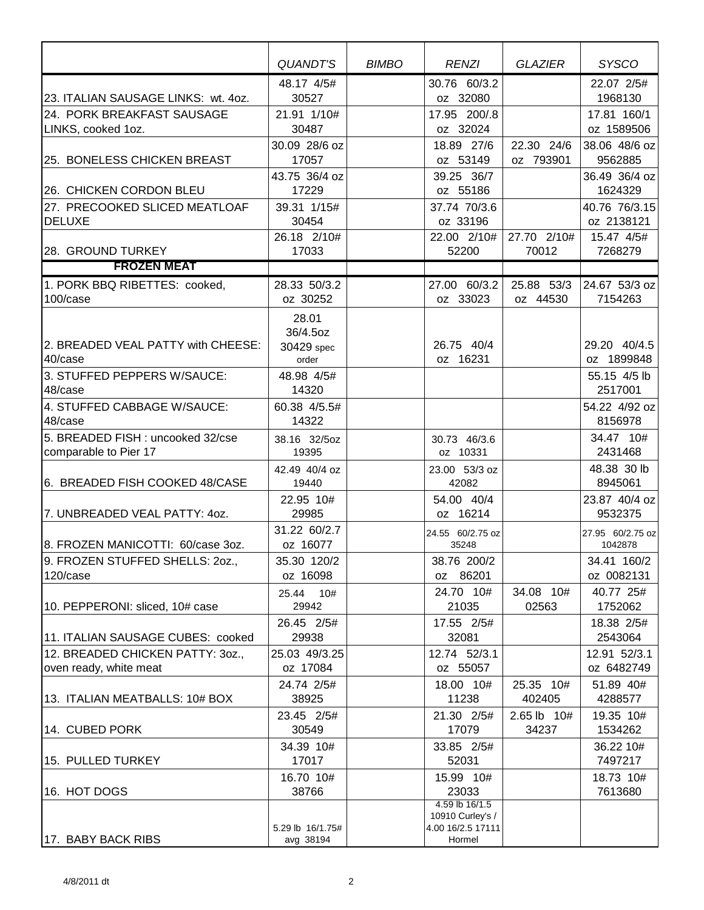|                                                            | QUANDT'S                                 | <b>BIMBO</b> | <b>RENZI</b>                                                      | <b>GLAZIER</b>          | <b>SYSCO</b>                |
|------------------------------------------------------------|------------------------------------------|--------------|-------------------------------------------------------------------|-------------------------|-----------------------------|
| 23. ITALIAN SAUSAGE LINKS: wt. 4oz.                        | 48.17 4/5#<br>30527                      |              | 30.76 60/3.2<br>oz 32080                                          |                         | 22.07 2/5#<br>1968130       |
| 24. PORK BREAKFAST SAUSAGE<br>LINKS, cooked 1oz.           | 21.91 1/10#<br>30487                     |              | 17.95 200/.8<br>oz 32024                                          |                         | 17.81 160/1<br>oz 1589506   |
| 25. BONELESS CHICKEN BREAST                                | 30.09 28/6 oz<br>17057                   |              | 18.89 27/6<br>oz 53149                                            | 22.30 24/6<br>oz 793901 | 38.06 48/6 oz<br>9562885    |
| 26. CHICKEN CORDON BLEU                                    | 43.75 36/4 oz<br>17229                   |              | 39.25 36/7<br>oz 55186                                            |                         | 36.49 36/4 oz<br>1624329    |
| 27. PRECOOKED SLICED MEATLOAF<br><b>DELUXE</b>             | 39.31 1/15#<br>30454                     |              | 37.74 70/3.6<br>oz 33196                                          |                         | 40.76 76/3.15<br>oz 2138121 |
| 28. GROUND TURKEY                                          | 26.18 2/10#<br>17033                     |              | 22.00 2/10#<br>52200                                              | 27.70 2/10#<br>70012    | 15.47 4/5#<br>7268279       |
| <b>FROZEN MEAT</b>                                         |                                          |              |                                                                   |                         |                             |
| 1. PORK BBQ RIBETTES: cooked,<br>100/case                  | 28.33 50/3.2<br>oz 30252                 |              | 27.00 60/3.2<br>oz 33023                                          | 25.88 53/3<br>oz 44530  | 24.67 53/3 oz<br>7154263    |
| 2. BREADED VEAL PATTY with CHEESE:<br>40/case              | 28.01<br>36/4.5oz<br>30429 spec<br>order |              | 26.75 40/4<br>oz 16231                                            |                         | 29.20 40/4.5<br>oz 1899848  |
| 3. STUFFED PEPPERS W/SAUCE:<br>48/case                     | 48.98 4/5#<br>14320                      |              |                                                                   |                         | 55.15 4/5 lb<br>2517001     |
| 4. STUFFED CABBAGE W/SAUCE:<br>48/case                     | 60.38 4/5.5#<br>14322                    |              |                                                                   |                         | 54.22 4/92 oz<br>8156978    |
| 5. BREADED FISH : uncooked 32/cse<br>comparable to Pier 17 | 38.16 32/5oz<br>19395                    |              | 30.73 46/3.6<br>oz 10331                                          |                         | 34.47 10#<br>2431468        |
| 6. BREADED FISH COOKED 48/CASE                             | 42.49 40/4 oz<br>19440                   |              | 23.00 53/3 oz<br>42082                                            |                         | 48.38 30 lb<br>8945061      |
| 7. UNBREADED VEAL PATTY: 40Z.                              | 22.95 10#<br>29985                       |              | 54.00 40/4<br>oz 16214                                            |                         | 23.87 40/4 oz<br>9532375    |
| 8. FROZEN MANICOTTI: 60/case 3oz.                          | 31.22 60/2.7<br>oz 16077                 |              | 24.55 60/2.75 oz<br>35248                                         |                         | 27.95 60/2.75 oz<br>1042878 |
| 9. FROZEN STUFFED SHELLS: 20z.,<br>120/case                | 35.30 120/2<br>oz 16098                  |              | 38.76 200/2<br>oz 86201                                           |                         | 34.41 160/2<br>oz 0082131   |
| 10. PEPPERONI: sliced, 10# case                            | 10#<br>25.44<br>29942                    |              | 24.70 10#<br>21035                                                | 34.08 10#<br>02563      | 40.77 25#<br>1752062        |
| 11. ITALIAN SAUSAGE CUBES: cooked                          | 26.45 2/5#<br>29938                      |              | 17.55 2/5#<br>32081                                               |                         | 18.38 2/5#<br>2543064       |
| 12. BREADED CHICKEN PATTY: 30Z.,<br>oven ready, white meat | 25.03 49/3.25<br>oz 17084                |              | 12.74 52/3.1<br>oz 55057                                          |                         | 12.91 52/3.1<br>oz 6482749  |
| 13. ITALIAN MEATBALLS: 10# BOX                             | 24.74 2/5#<br>38925                      |              | 18.00 10#<br>11238                                                | 25.35 10#<br>402405     | 51.89 40#<br>4288577        |
| 14. CUBED PORK                                             | 23.45 2/5#<br>30549                      |              | 21.30 2/5#<br>17079                                               | 2.65 lb 10#<br>34237    | 19.35 10#<br>1534262        |
| 15. PULLED TURKEY                                          | 34.39 10#<br>17017                       |              | 33.85 2/5#<br>52031                                               |                         | 36.22 10#<br>7497217        |
| 16. HOT DOGS                                               | 16.70 10#<br>38766                       |              | 15.99 10#<br>23033                                                |                         | 18.73 10#<br>7613680        |
| 17. BABY BACK RIBS                                         | 5.29 lb 16/1.75#                         |              | 4.59 lb 16/1.5<br>10910 Curley's /<br>4.00 16/2.5 17111<br>Hormel |                         |                             |
|                                                            | avg 38194                                |              |                                                                   |                         |                             |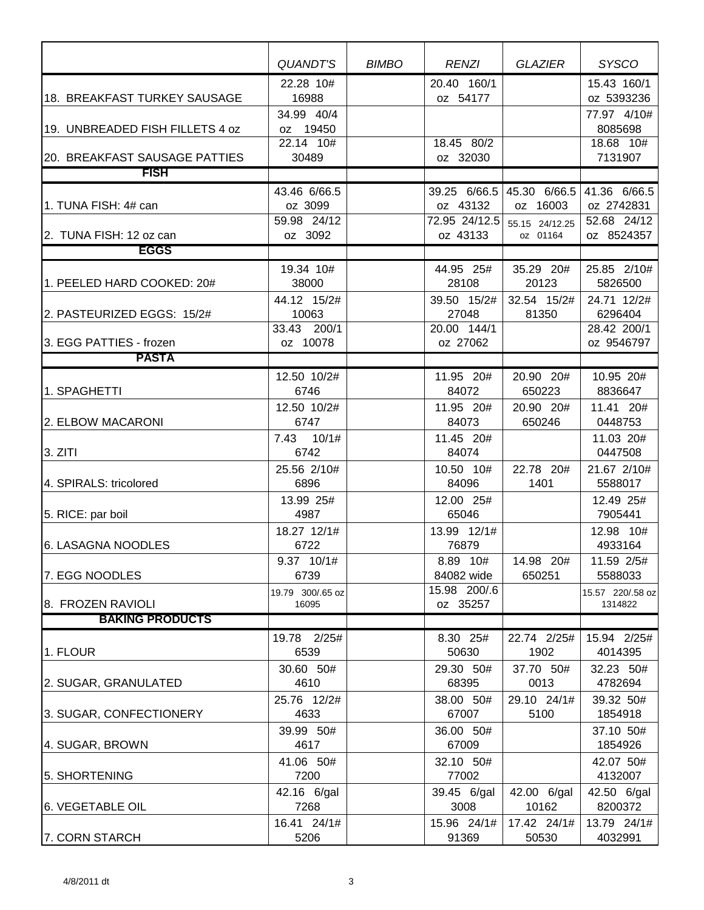|                                     | <b>QUANDT'S</b>                        | <b>BIMBO</b> | <b>RENZI</b>                        | <b>GLAZIER</b>                                          | <b>SYSCO</b>                              |
|-------------------------------------|----------------------------------------|--------------|-------------------------------------|---------------------------------------------------------|-------------------------------------------|
| <b>18. BREAKFAST TURKEY SAUSAGE</b> | 22.28 10#<br>16988                     |              | 20.40 160/1<br>oz 54177             |                                                         | 15.43 160/1<br>oz 5393236                 |
| 19. UNBREADED FISH FILLETS 4 oz     | 34.99 40/4<br>oz 19450                 |              |                                     |                                                         | 77.97 4/10#<br>8085698                    |
| 20. BREAKFAST SAUSAGE PATTIES       | 22.14 10#<br>30489                     |              | 18.45 80/2<br>oz 32030              |                                                         | 18.68 10#<br>7131907                      |
| <b>FISH</b>                         |                                        |              |                                     |                                                         |                                           |
| 1. TUNA FISH: 4# can                | 43.46 6/66.5<br>oz 3099<br>59.98 24/12 |              | oz 43132<br>72.95 24/12.5           | 39.25 6/66.5 45.30 6/66.5<br>oz 16003<br>55.15 24/12.25 | 41.36 6/66.5<br>oz 2742831<br>52.68 24/12 |
| 2. TUNA FISH: 12 oz can             | oz 3092                                |              | oz 43133                            | oz 01164                                                | oz 8524357                                |
| <b>EGGS</b>                         |                                        |              |                                     |                                                         |                                           |
| 1. PEELED HARD COOKED: 20#          | 19.34 10#<br>38000                     |              | 44.95 25#<br>28108                  | 35.29 20#<br>20123                                      | 25.85 2/10#<br>5826500                    |
| 2. PASTEURIZED EGGS: 15/2#          | 44.12 15/2#<br>10063<br>33.43 200/1    |              | 39.50 15/2#<br>27048<br>20.00 144/1 | 32.54 15/2#<br>81350                                    | 24.71 12/2#<br>6296404<br>28.42 200/1     |
| 3. EGG PATTIES - frozen             | oz 10078                               |              | oz 27062                            |                                                         | oz 9546797                                |
| <b>PASTA</b>                        |                                        |              |                                     |                                                         |                                           |
| 1. SPAGHETTI                        | 12.50 10/2#<br>6746                    |              | 11.95 20#<br>84072                  | 20.90 20#<br>650223                                     | 10.95 20#<br>8836647                      |
| 2. ELBOW MACARONI                   | 12.50 10/2#<br>6747                    |              | 11.95 20#<br>84073                  | 20.90 20#<br>650246                                     | 11.41 20#<br>0448753                      |
| 3. ZITI                             | 7.43 10/1#<br>6742                     |              | 11.45 20#<br>84074                  |                                                         | 11.03 20#<br>0447508                      |
| 4. SPIRALS: tricolored              | 25.56 2/10#<br>6896                    |              | 10.50 10#<br>84096                  | 22.78 20#<br>1401                                       | 21.67 2/10#<br>5588017                    |
| 5. RICE: par boil                   | 13.99 25#<br>4987                      |              | 12.00 25#<br>65046                  |                                                         | 12.49 25#<br>7905441                      |
| 6. LASAGNA NOODLES                  | 18.27 12/1#<br>6722                    |              | 13.99 12/1#<br>76879                |                                                         | 12.98 10#<br>4933164                      |
| 7. EGG NOODLES                      | 9.37 10/1#<br>6739                     |              | 8.89 10#<br>84082 wide              | 14.98 20#<br>650251                                     | 11.59 2/5#<br>5588033                     |
| 8. FROZEN RAVIOLI                   | 19.79 300/.65 oz<br>16095              |              | 15.98 200/.6<br>oz 35257            |                                                         | 15.57 220/.58 oz<br>1314822               |
| <b>BAKING PRODUCTS</b>              |                                        |              |                                     |                                                         |                                           |
| 1. FLOUR                            | 19.78 2/25#<br>6539                    |              | 8.30 25#<br>50630                   | 22.74 2/25#<br>1902                                     | 15.94 2/25#<br>4014395                    |
| 2. SUGAR, GRANULATED                | 30.60 50#<br>4610                      |              | 29.30 50#<br>68395                  | 37.70 50#<br>0013                                       | 32.23 50#<br>4782694                      |
| 3. SUGAR, CONFECTIONERY             | 25.76 12/2#<br>4633                    |              | 38.00 50#<br>67007                  | 29.10 24/1#<br>5100                                     | 39.32 50#<br>1854918                      |
| 4. SUGAR, BROWN                     | 39.99 50#<br>4617                      |              | 36.00 50#<br>67009                  |                                                         | 37.10 50#<br>1854926                      |
| 5. SHORTENING                       | 41.06 50#<br>7200                      |              | 32.10 50#<br>77002                  |                                                         | 42.07 50#<br>4132007                      |
| <b>6. VEGETABLE OIL</b>             | 42.16 6/gal<br>7268                    |              | 39.45 6/gal<br>3008                 | 42.00 6/gal<br>10162                                    | 42.50 6/gal<br>8200372                    |
| 7. CORN STARCH                      | 16.41 24/1#<br>5206                    |              | 15.96 24/1#<br>91369                | 17.42 24/1#<br>50530                                    | 13.79 24/1#<br>4032991                    |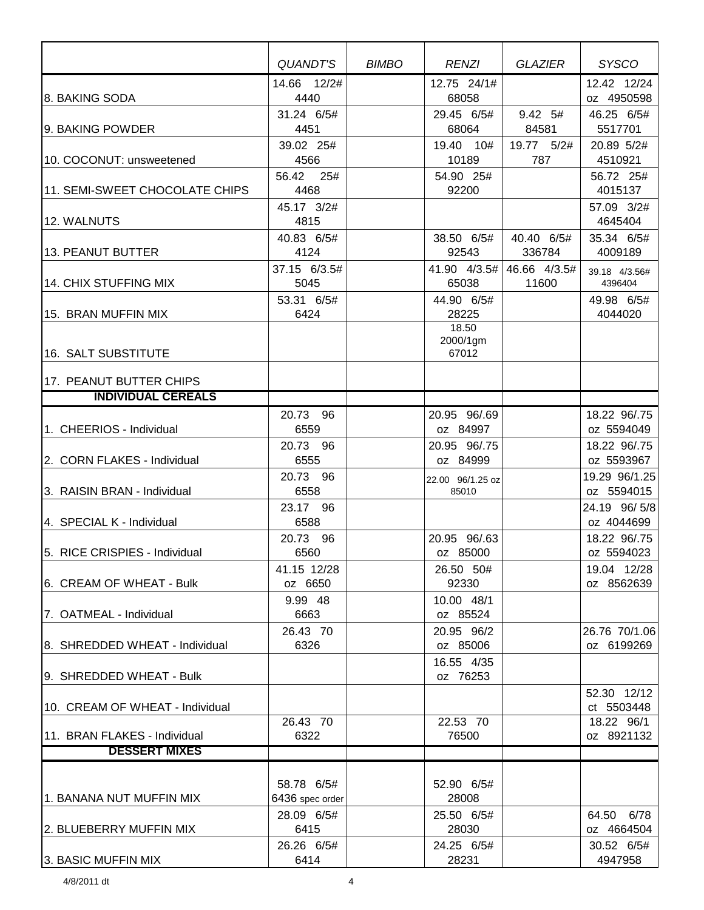|                                 | QUANDT'S                         | <b>BIMBO</b> | <b>RENZI</b>               | GLAZIER               | <b>SYSCO</b>                            |
|---------------------------------|----------------------------------|--------------|----------------------------|-----------------------|-----------------------------------------|
| 8. BAKING SODA                  | 14.66 12/2#<br>4440              |              | 12.75 24/1#<br>68058       |                       | 12.42 12/24<br>oz 4950598               |
| 9. BAKING POWDER                | 31.24 6/5#<br>4451               |              | 29.45 6/5#<br>68064        | 9.42 5#<br>84581      | 46.25 6/5#<br>5517701                   |
| 10. COCONUT: unsweetened        | 39.02 25#<br>4566                |              | 19.40 10#<br>10189         | 19.77 5/2#<br>787     | 20.89 5/2#<br>4510921                   |
| 11. SEMI-SWEET CHOCOLATE CHIPS  | 56.42<br>25#<br>4468             |              | 54.90 25#<br>92200         |                       | 56.72 25#<br>4015137                    |
| 12. WALNUTS                     | 45.17 3/2#<br>4815<br>40.83 6/5# |              | 38.50 6/5#                 | 40.40 6/5#            | 57.09 3/2#<br>4645404<br>35.34 6/5#     |
| 13. PEANUT BUTTER               | 4124                             |              | 92543                      | 336784                | 4009189                                 |
| 14. CHIX STUFFING MIX           | 37.15 6/3.5#<br>5045             |              | 41.90 4/3.5#<br>65038      | 46.66 4/3.5#<br>11600 | 39.18 4/3.56#<br>4396404                |
| 15. BRAN MUFFIN MIX             | 53.31 6/5#<br>6424               |              | 44.90 6/5#<br>28225        |                       | 49.98 6/5#<br>4044020                   |
| 16. SALT SUBSTITUTE             |                                  |              | 18.50<br>2000/1gm<br>67012 |                       |                                         |
| 17. PEANUT BUTTER CHIPS         |                                  |              |                            |                       |                                         |
| <b>INDIVIDUAL CEREALS</b>       |                                  |              |                            |                       |                                         |
| 1. CHEERIOS - Individual        | 20.73 96<br>6559                 |              | 20.95 96/.69<br>oz 84997   |                       | 18.22 96/.75<br>oz 5594049              |
|                                 | 20.73 96                         |              | 20.95 96/.75               |                       | 18.22 96/.75                            |
| 2. CORN FLAKES - Individual     | 6555                             |              | oz 84999                   |                       | oz 5593967                              |
| 3. RAISIN BRAN - Individual     | 20.73 96<br>6558                 |              | 22.00 96/1.25 oz<br>85010  |                       | 19.29 96/1.25<br>oz 5594015             |
| 4. SPECIAL K - Individual       | 23.17 96<br>6588                 |              |                            |                       | 24.19 96/5/8<br>oz 4044699              |
| 5. RICE CRISPIES - Individual   | 20.73 96<br>6560                 |              | 20.95 96/.63<br>oz 85000   |                       | 18.22 96/.75<br>oz 5594023              |
| 6. CREAM OF WHEAT - Bulk        | 41.15 12/28<br>oz 6650           |              | 26.50 50#<br>92330         |                       | 19.04 12/28<br>oz 8562639               |
| 7. OATMEAL - Individual         | 9.99 48<br>6663                  |              | 10.00 48/1<br>oz 85524     |                       |                                         |
| 8. SHREDDED WHEAT - Individual  | 26.43 70<br>6326                 |              | 20.95 96/2<br>oz 85006     |                       | 26.76 70/1.06<br>oz 6199269             |
| 9. SHREDDED WHEAT - Bulk        |                                  |              | 16.55 4/35<br>oz 76253     |                       |                                         |
| 10. CREAM OF WHEAT - Individual | 26.43 70                         |              | 22.53 70                   |                       | 52.30 12/12<br>ct 5503448<br>18.22 96/1 |
| 11. BRAN FLAKES - Individual    | 6322                             |              | 76500                      |                       | oz 8921132                              |
| <b>DESSERT MIXES</b>            |                                  |              |                            |                       |                                         |
|                                 |                                  |              |                            |                       |                                         |
| 1. BANANA NUT MUFFIN MIX        | 58.78 6/5#<br>6436 spec order    |              | 52.90 6/5#<br>28008        |                       |                                         |
| 2. BLUEBERRY MUFFIN MIX         | 28.09 6/5#<br>6415               |              | 25.50 6/5#<br>28030        |                       | 64.50 6/78<br>oz 4664504                |
| 3. BASIC MUFFIN MIX             | 26.26 6/5#<br>6414               |              | 24.25 6/5#<br>28231        |                       | 30.52 6/5#<br>4947958                   |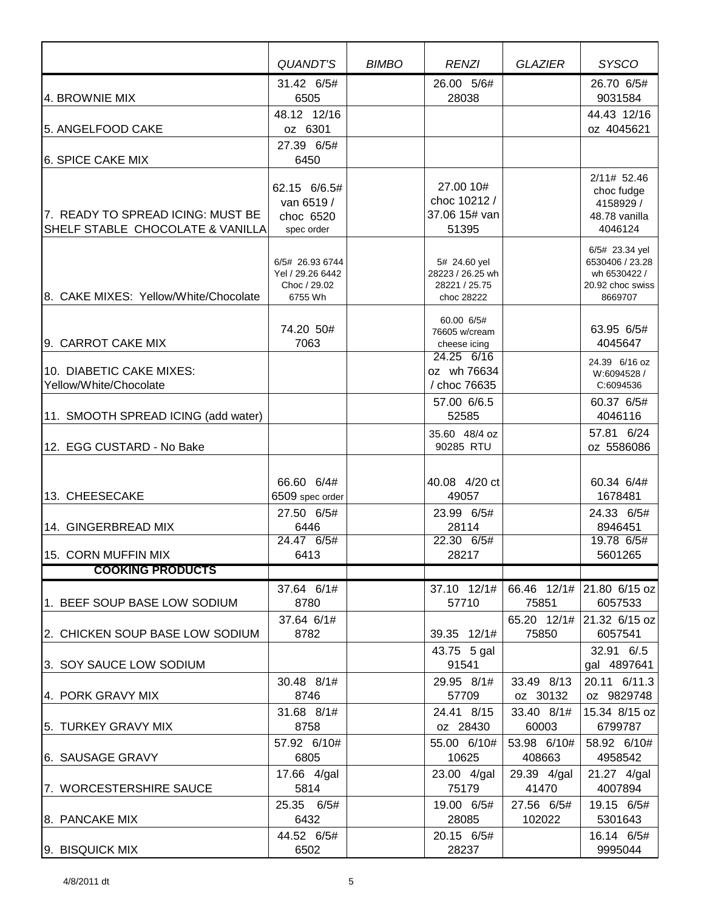|                                                                       | <b>QUANDT'S</b>                                                | <b>BIMBO</b> | <b>RENZI</b>                                                             | <b>GLAZIER</b>         | <b>SYSCO</b>                                                                     |
|-----------------------------------------------------------------------|----------------------------------------------------------------|--------------|--------------------------------------------------------------------------|------------------------|----------------------------------------------------------------------------------|
| 4. BROWNIE MIX                                                        | 31.42 6/5#<br>6505                                             |              | 26.00 5/6#<br>28038                                                      |                        | 26.70 6/5#<br>9031584                                                            |
| 5. ANGELFOOD CAKE                                                     | 48.12 12/16<br>oz 6301                                         |              |                                                                          |                        | 44.43 12/16<br>oz 4045621                                                        |
| 6. SPICE CAKE MIX                                                     | 27.39 6/5#<br>6450                                             |              |                                                                          |                        |                                                                                  |
| 7. READY TO SPREAD ICING: MUST BE<br>SHELF STABLE CHOCOLATE & VANILLA | 62.15 6/6.5#<br>van 6519 /<br>choc 6520<br>spec order          |              | 27.00 10#<br>choc 10212 /<br>37.06 15# van<br>51395                      |                        | 2/11# 52.46<br>choc fudge<br>4158929 /<br>48.78 vanilla<br>4046124               |
| 8. CAKE MIXES: Yellow/White/Chocolate                                 | 6/5# 26.93 6744<br>Yel / 29.26 6442<br>Choc / 29.02<br>6755 Wh |              | 5# 24.60 yel<br>28223 / 26.25 wh<br>28221 / 25.75<br>choc 28222          |                        | 6/5# 23.34 yel<br>6530406 / 23.28<br>wh 6530422 /<br>20.92 choc swiss<br>8669707 |
| 9. CARROT CAKE MIX<br>10. DIABETIC CAKE MIXES:                        | 74.20 50#<br>7063                                              |              | 60.00 6/5#<br>76605 w/cream<br>cheese icing<br>24.25 6/16<br>oz wh 76634 |                        | 63.95 6/5#<br>4045647<br>24.39 6/16 oz<br>W:6094528 /                            |
| Yellow/White/Chocolate<br>11. SMOOTH SPREAD ICING (add water)         |                                                                |              | / choc 76635<br>57.00 6/6.5<br>52585                                     |                        | C:6094536<br>60.37 6/5#<br>4046116                                               |
| 12. EGG CUSTARD - No Bake                                             |                                                                |              | 35.60 48/4 oz<br>90285 RTU                                               |                        | 57.81 6/24<br>oz 5586086                                                         |
| 13. CHEESECAKE                                                        | 66.60 6/4#<br>6509 spec order                                  |              | 40.08 4/20 ct<br>49057                                                   |                        | 60.34 6/4#<br>1678481                                                            |
| 14. GINGERBREAD MIX                                                   | 27.50 6/5#<br>6446                                             |              | 23.99 6/5#<br>28114<br>22.30 6/5#                                        |                        | 24.33 6/5#<br>8946451                                                            |
| 115. CORN MUFFIN MIX                                                  | 24.47 6/5#<br>6413                                             |              | 28217                                                                    |                        | 19.78 6/5#<br>5601265                                                            |
| <b>COOKING PRODUCTS</b>                                               |                                                                |              |                                                                          |                        |                                                                                  |
| 1. BEEF SOUP BASE LOW SODIUM                                          | 37.64 6/1#<br>8780                                             |              | 37.10 12/1#<br>57710                                                     | 75851                  | 66.46 12/1# 21.80 6/15 oz<br>6057533                                             |
| 2. CHICKEN SOUP BASE LOW SODIUM                                       | 37.64 6/1#<br>8782                                             |              | 39.35 12/1#<br>43.75 5 gal                                               | 75850                  | 65.20 12/1# 21.32 6/15 oz<br>6057541<br>32.91 6/.5                               |
| 3. SOY SAUCE LOW SODIUM                                               |                                                                |              | 91541                                                                    |                        | gal 4897641                                                                      |
| 4. PORK GRAVY MIX                                                     | 30.48 8/1#<br>8746                                             |              | 29.95 8/1#<br>57709                                                      | 33.49 8/13<br>oz 30132 | 20.11 6/11.3<br>oz 9829748                                                       |
| 5. TURKEY GRAVY MIX                                                   | 31.68 8/1#<br>8758                                             |              | 24.41 8/15<br>oz 28430                                                   | 33.40 8/1#<br>60003    | 15.34 8/15 oz<br>6799787                                                         |
| 6. SAUSAGE GRAVY                                                      | 57.92 6/10#<br>6805                                            |              | 55.00 6/10#<br>10625                                                     | 53.98 6/10#<br>408663  | 58.92 6/10#<br>4958542                                                           |
| 7. WORCESTERSHIRE SAUCE                                               | 17.66 4/gal<br>5814                                            |              | 23.00 4/gal<br>75179                                                     | 29.39 4/gal<br>41470   | 21.27 4/gal<br>4007894                                                           |
| 8. PANCAKE MIX                                                        | 25.35 6/5#<br>6432                                             |              | 19.00 6/5#<br>28085                                                      | 27.56 6/5#<br>102022   | 19.15 6/5#<br>5301643                                                            |
| 9. BISQUICK MIX                                                       | 44.52 6/5#<br>6502                                             |              | 20.15 6/5#<br>28237                                                      |                        | 16.14 6/5#<br>9995044                                                            |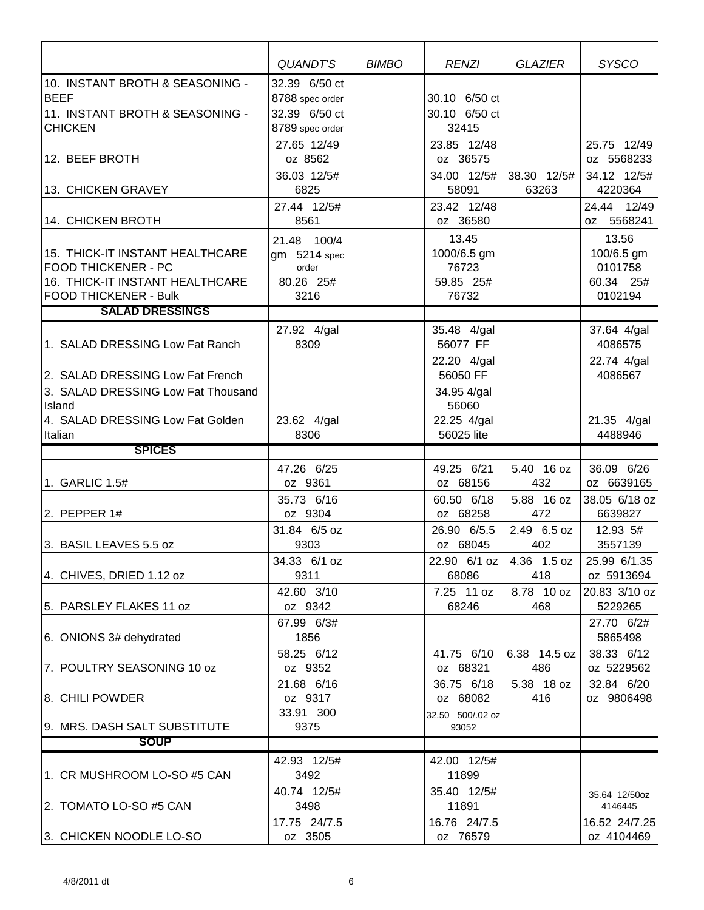|                                                                 | QUANDT'S                             | <b>BIMBO</b> | <b>RENZI</b>                  | <b>GLAZIER</b>       | <b>SYSCO</b>                        |
|-----------------------------------------------------------------|--------------------------------------|--------------|-------------------------------|----------------------|-------------------------------------|
| 10. INSTANT BROTH & SEASONING -<br><b>BEEF</b>                  | 32.39 6/50 ct<br>8788 spec order     |              | 30.10 6/50 ct                 |                      |                                     |
| 11. INSTANT BROTH & SEASONING -<br><b>CHICKEN</b>               | 32.39 6/50 ct<br>8789 spec order     |              | 30.10 6/50 ct<br>32415        |                      |                                     |
| 12. BEEF BROTH                                                  | 27.65 12/49<br>oz 8562               |              | 23.85 12/48<br>oz 36575       |                      | 25.75 12/49<br>oz 5568233           |
| 13. CHICKEN GRAVEY                                              | 36.03 12/5#<br>6825                  |              | 34.00 12/5#<br>58091          | 38.30 12/5#<br>63263 | 34.12 12/5#<br>4220364              |
| 14. CHICKEN BROTH                                               | 27.44 12/5#<br>8561                  |              | 23.42 12/48<br>oz 36580       |                      | 24.44 12/49<br>oz 5568241           |
| 15. THICK-IT INSTANT HEALTHCARE<br><b>FOOD THICKENER - PC</b>   | 21.48 100/4<br>gm 5214 spec<br>order |              | 13.45<br>1000/6.5 gm<br>76723 |                      | 13.56<br>100/6.5 gm<br>0101758      |
| 16. THICK-IT INSTANT HEALTHCARE<br><b>FOOD THICKENER - Bulk</b> | 80.26 25#<br>3216                    |              | 59.85 25#<br>76732            |                      | 60.34 25#<br>0102194                |
| <b>SALAD DRESSINGS</b>                                          |                                      |              |                               |                      |                                     |
| 1. SALAD DRESSING Low Fat Ranch                                 | 27.92 4/gal<br>8309                  |              | 35.48 4/gal<br>56077 FF       |                      | 37.64 4/gal<br>4086575              |
| 2. SALAD DRESSING Low Fat French                                |                                      |              | 22.20 4/gal<br>56050 FF       |                      | 22.74 4/gal<br>4086567              |
| 3. SALAD DRESSING Low Fat Thousand<br>Island                    |                                      |              | 34.95 4/gal<br>56060          |                      |                                     |
| 4. SALAD DRESSING Low Fat Golden<br>Italian                     | 23.62 4/gal<br>8306                  |              | 22.25 4/gal<br>56025 lite     |                      | $\overline{21.35}$ 4/gal<br>4488946 |
| <b>SPICES</b>                                                   |                                      |              |                               |                      |                                     |
| 1. GARLIC 1.5#                                                  | 47.26 6/25<br>oz 9361                |              | 49.25 6/21<br>oz 68156        | 5.40 16 oz<br>432    | 36.09 6/26<br>oz 6639165            |
| 2. PEPPER $1#$                                                  | 35.73 6/16<br>oz 9304                |              | 60.50 6/18<br>oz 68258        | 5.88 16 oz<br>472    | 38.05 6/18 oz<br>6639827            |
| 3. BASIL LEAVES 5.5 oz                                          | 31.84 6/5 oz<br>9303                 |              | 26.90 6/5.5<br>oz 68045       | 2.49 6.5 oz<br>402   | 12.93 5#<br>3557139                 |
| 4. CHIVES, DRIED 1.12 oz                                        | 34.33 6/1 oz<br>9311                 |              | 22.90 6/1 oz<br>68086         | 4.36 1.5 oz<br>418   | 25.99 6/1.35<br>oz 5913694          |
| 5. PARSLEY FLAKES 11 oz                                         | 42.60 3/10<br>oz 9342                |              | 7.25 11 oz<br>68246           | 8.78 10 oz<br>468    | 20.83 3/10 oz<br>5229265            |
| 6. ONIONS 3# dehydrated                                         | 67.99 6/3#<br>1856                   |              |                               |                      | 27.70 6/2#<br>5865498               |
| 7. POULTRY SEASONING 10 oz                                      | 58.25 6/12<br>oz 9352                |              | 41.75 6/10<br>oz 68321        | 6.38 14.5 oz<br>486  | 38.33 6/12<br>oz 5229562            |
| 8. CHILI POWDER                                                 | 21.68 6/16<br>oz 9317                |              | 36.75 6/18<br>oz 68082        | 5.38 18 oz<br>416    | 32.84 6/20<br>oz 9806498            |
| 9. MRS. DASH SALT SUBSTITUTE                                    | 33.91 300<br>9375                    |              | 32.50 500/.02 oz<br>93052     |                      |                                     |
| <b>SOUP</b>                                                     |                                      |              |                               |                      |                                     |
| 1. CR MUSHROOM LO-SO #5 CAN                                     | 42.93 12/5#<br>3492                  |              | 42.00 12/5#<br>11899          |                      |                                     |
| 2. TOMATO LO-SO #5 CAN                                          | 40.74 12/5#<br>3498                  |              | 35.40 12/5#<br>11891          |                      | 35.64 12/50oz<br>4146445            |
| 3. CHICKEN NOODLE LO-SO                                         | 17.75 24/7.5<br>oz 3505              |              | 16.76 24/7.5<br>oz 76579      |                      | 16.52 24/7.25<br>oz 4104469         |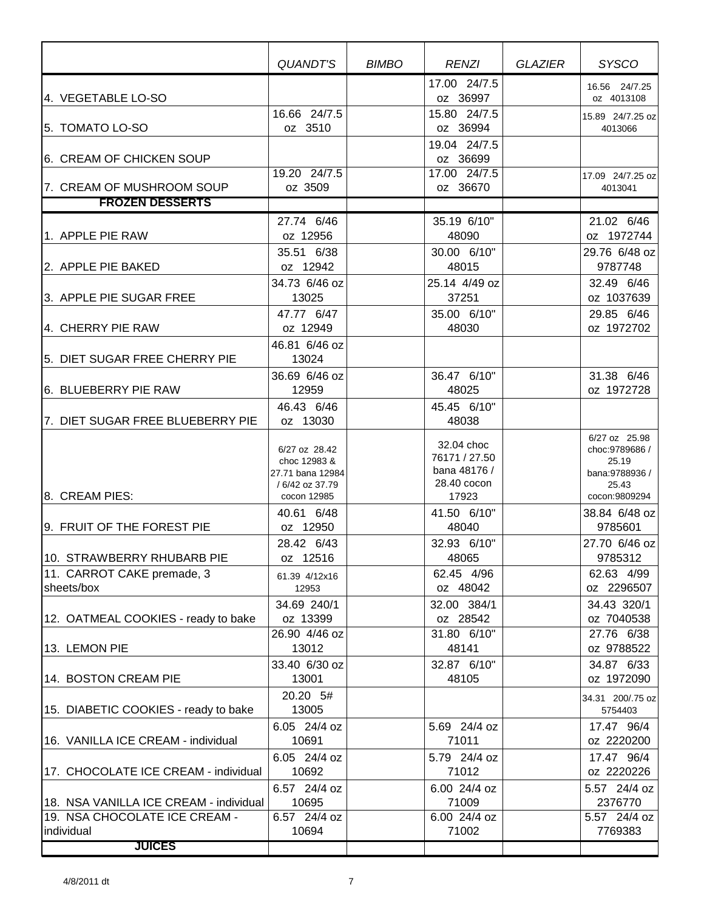|                                                                         | QUANDT'S                                                                            | <b>BIMBO</b> | <b>RENZI</b>                                                        | GLAZIER | <b>SYSCO</b>                                                                          |
|-------------------------------------------------------------------------|-------------------------------------------------------------------------------------|--------------|---------------------------------------------------------------------|---------|---------------------------------------------------------------------------------------|
| 4. VEGETABLE LO-SO                                                      |                                                                                     |              | 17.00 24/7.5<br>oz 36997                                            |         | 16.56 24/7.25<br>oz 4013108                                                           |
| 5. TOMATO LO-SO                                                         | 16.66 24/7.5<br>oz 3510                                                             |              | 15.80 24/7.5<br>oz 36994                                            |         | 15.89 24/7.25 oz<br>4013066                                                           |
| 6. CREAM OF CHICKEN SOUP                                                |                                                                                     |              | 19.04 24/7.5<br>oz 36699                                            |         |                                                                                       |
| 7. CREAM OF MUSHROOM SOUP                                               | 19.20 24/7.5<br>oz 3509                                                             |              | 17.00 24/7.5<br>oz 36670                                            |         | 17.09 24/7.25 oz<br>4013041                                                           |
| <b>FROZEN DESSERTS</b>                                                  |                                                                                     |              |                                                                     |         |                                                                                       |
| 1. APPLE PIE RAW                                                        | 27.74 6/46<br>oz 12956                                                              |              | 35.19 6/10"<br>48090                                                |         | 21.02 6/46<br>oz 1972744                                                              |
| 2. APPLE PIE BAKED                                                      | 35.51 6/38<br>oz 12942                                                              |              | 30.00 6/10"<br>48015                                                |         | 29.76 6/48 oz<br>9787748                                                              |
| 3. APPLE PIE SUGAR FREE                                                 | 34.73 6/46 oz<br>13025                                                              |              | 25.14 4/49 oz<br>37251                                              |         | 32.49 6/46<br>oz 1037639                                                              |
| 4. CHERRY PIE RAW                                                       | 47.77 6/47<br>oz 12949<br>46.81 6/46 oz                                             |              | 35.00 6/10"<br>48030                                                |         | 29.85 6/46<br>oz 1972702                                                              |
| 5. DIET SUGAR FREE CHERRY PIE                                           | 13024                                                                               |              |                                                                     |         |                                                                                       |
| 6. BLUEBERRY PIE RAW                                                    | 36.69 6/46 oz<br>12959<br>46.43 6/46                                                |              | 36.47 6/10"<br>48025<br>45.45 6/10"                                 |         | 31.38 6/46<br>oz 1972728                                                              |
| 7. DIET SUGAR FREE BLUEBERRY PIE                                        | oz 13030                                                                            |              | 48038                                                               |         |                                                                                       |
| 8. CREAM PIES:                                                          | 6/27 oz 28.42<br>choc 12983 &<br>27.71 bana 12984<br>/ 6/42 oz 37.79<br>cocon 12985 |              | 32.04 choc<br>76171 / 27.50<br>bana 48176 /<br>28.40 cocon<br>17923 |         | 6/27 oz 25.98<br>choc: 9789686 /<br>25.19<br>bana:9788936 /<br>25.43<br>cocon:9809294 |
| 9. FRUIT OF THE FOREST PIE                                              | 40.61 6/48<br>oz 12950                                                              |              | 41.50 6/10"<br>48040                                                |         | 38.84 6/48 oz<br>9785601                                                              |
|                                                                         | 28.42 6/43                                                                          |              | 32.93 6/10"                                                         |         | 27.70 6/46 oz                                                                         |
| 10. STRAWBERRY RHUBARB PIE                                              | oz 12516                                                                            |              | 48065                                                               |         | 9785312                                                                               |
| 11. CARROT CAKE premade, 3                                              | 61.39 4/12x16                                                                       |              | 62.45 4/96                                                          |         | 62.63 4/99                                                                            |
| sheets/box                                                              | 12953                                                                               |              | oz 48042                                                            |         | oz 2296507                                                                            |
| 12. OATMEAL COOKIES - ready to bake                                     | 34.69 240/1<br>oz 13399                                                             |              | 32.00 384/1<br>oz 28542                                             |         | 34.43 320/1<br>oz 7040538                                                             |
| 13. LEMON PIE                                                           | 26.90 4/46 oz<br>13012                                                              |              | 31.80 6/10"<br>48141                                                |         | 27.76 6/38<br>oz 9788522                                                              |
| 14. BOSTON CREAM PIE                                                    | 33.40 6/30 oz<br>13001                                                              |              | 32.87 6/10"<br>48105                                                |         | 34.87 6/33<br>oz 1972090                                                              |
| 15. DIABETIC COOKIES - ready to bake                                    | 20.20 5#<br>13005                                                                   |              |                                                                     |         | 34.31 200/.75 oz<br>5754403                                                           |
| 16. VANILLA ICE CREAM - individual                                      | 6.05 24/4 oz<br>10691                                                               |              | 5.69 24/4 oz<br>71011                                               |         | 17.47 96/4<br>oz 2220200                                                              |
| 17. CHOCOLATE ICE CREAM - individual                                    | 6.05 24/4 oz<br>10692                                                               |              | 5.79 24/4 oz<br>71012                                               |         | 17.47 96/4<br>oz 2220226                                                              |
|                                                                         | 6.57 24/4 oz                                                                        |              | 6.00 24/4 oz                                                        |         | 5.57 24/4 oz                                                                          |
| 18. NSA VANILLA ICE CREAM - individual<br>19. NSA CHOCOLATE ICE CREAM - | 10695<br>$6.57$ 24/4 oz                                                             |              | 71009<br>6.00 24/4 oz                                               |         | 2376770<br>5.57 24/4 oz                                                               |
| individual<br><b>JUICES</b>                                             | 10694                                                                               |              | 71002                                                               |         | 7769383                                                                               |
|                                                                         |                                                                                     |              |                                                                     |         |                                                                                       |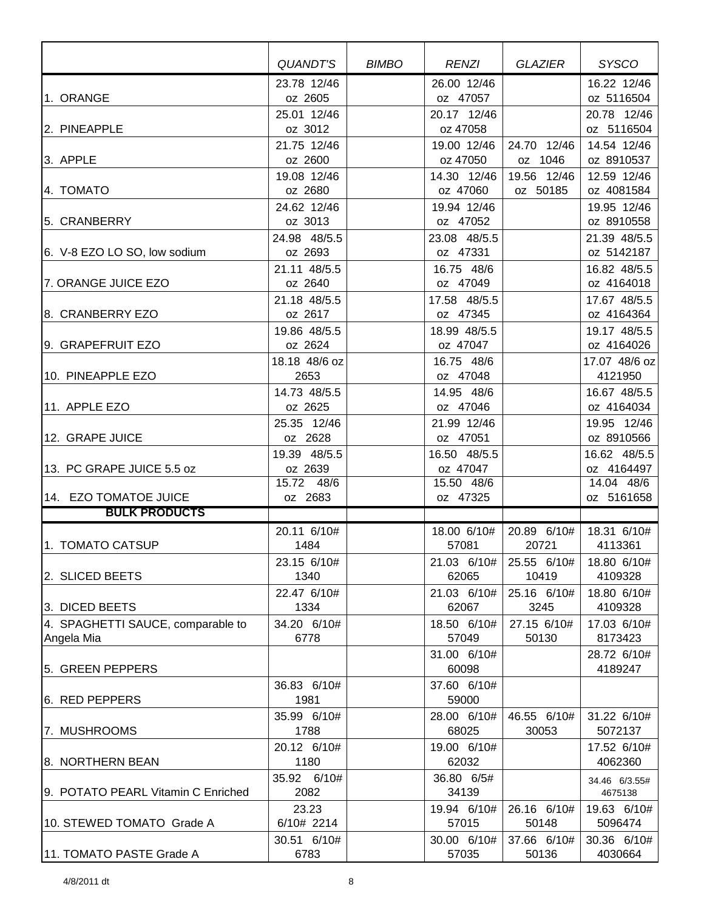|                                    | <b>QUANDT'S</b>         | <b>BIMBO</b> | <b>RENZI</b>             | <b>GLAZIER</b> | <b>SYSCO</b>               |
|------------------------------------|-------------------------|--------------|--------------------------|----------------|----------------------------|
|                                    | 23.78 12/46             |              | 26.00 12/46              |                | 16.22 12/46                |
| 1. ORANGE                          | oz 2605                 |              | oz 47057                 |                | oz 5116504                 |
|                                    | 25.01 12/46             |              | 20.17 12/46              |                | 20.78 12/46                |
| 2. PINEAPPLE                       | oz 3012                 |              | oz 47058                 |                | oz 5116504                 |
|                                    | 21.75 12/46             |              | 19.00 12/46              | 24.70 12/46    | 14.54 12/46                |
| 3. APPLE                           | oz 2600                 |              | oz 47050                 | oz 1046        | oz 8910537                 |
|                                    | 19.08 12/46             |              | 14.30 12/46              | 19.56 12/46    | 12.59 12/46                |
| 4. TOMATO                          | oz 2680                 |              | oz 47060                 | oz 50185       | oz 4081584                 |
|                                    | 24.62 12/46             |              | 19.94 12/46              |                | 19.95 12/46                |
| 5. CRANBERRY                       | oz 3013                 |              | oz 47052                 |                | oz 8910558                 |
|                                    | 24.98 48/5.5            |              | 23.08 48/5.5             |                | 21.39 48/5.5               |
| 6. V-8 EZO LO SO, low sodium       | oz 2693                 |              | oz 47331                 |                | oz 5142187                 |
|                                    | 21.11 48/5.5            |              | 16.75 48/6               |                | 16.82 48/5.5               |
| 7. ORANGE JUICE EZO                | oz 2640                 |              | oz 47049                 |                | oz 4164018                 |
|                                    | 21.18 48/5.5            |              | 17.58 48/5.5             |                | 17.67 48/5.5               |
| 8. CRANBERRY EZO                   | oz 2617                 |              | oz 47345                 |                | oz 4164364                 |
|                                    | 19.86 48/5.5            |              | 18.99 48/5.5             |                | 19.17 48/5.5               |
| 9. GRAPEFRUIT EZO                  | oz 2624                 |              | oz 47047                 |                | oz 4164026                 |
| 10. PINEAPPLE EZO                  | 18.18 48/6 oz           |              | 16.75 48/6               |                | 17.07 48/6 oz              |
|                                    | 2653                    |              | oz 47048                 |                | 4121950                    |
|                                    | 14.73 48/5.5            |              | 14.95 48/6               |                | 16.67 48/5.5               |
| 11. APPLE EZO                      | oz 2625                 |              | oz 47046                 |                | oz 4164034                 |
| 12. GRAPE JUICE                    | 25.35 12/46<br>oz 2628  |              | 21.99 12/46<br>oz 47051  |                | 19.95 12/46<br>oz 8910566  |
|                                    |                         |              |                          |                |                            |
| 13. PC GRAPE JUICE 5.5 oz          | 19.39 48/5.5<br>oz 2639 |              | 16.50 48/5.5<br>oz 47047 |                | 16.62 48/5.5<br>oz 4164497 |
|                                    | 15.72 48/6              |              | 15.50 48/6               |                | 14.04 48/6                 |
| 14. EZO TOMATOE JUICE              | oz 2683                 |              | oz 47325                 |                | oz 5161658                 |
| <b>BULK PRODUCTS</b>               |                         |              |                          |                |                            |
|                                    | 20.11 6/10#             |              | 18.00 6/10#              | 20.89 6/10#    | 18.31 6/10#                |
| 1. TOMATO CATSUP                   | 1484                    |              | 57081                    | 20721          | 4113361                    |
|                                    | 23.15 6/10#             |              | 21.03 6/10#              | 25.55 6/10#    | 18.80 6/10#                |
| 2. SLICED BEETS                    | 1340                    |              | 62065                    | 10419          | 4109328                    |
|                                    | 22.47 6/10#             |              | 21.03 6/10#              | 25.16 6/10#    | 18.80 6/10#                |
| 3. DICED BEETS                     | 1334                    |              | 62067                    | 3245           | 4109328                    |
| 4. SPAGHETTI SAUCE, comparable to  | 34.20 6/10#             |              | 18.50 6/10#              | 27.15 6/10#    | 17.03 6/10#                |
| Angela Mia                         | 6778                    |              | 57049                    | 50130          | 8173423                    |
|                                    |                         |              | 31.00 6/10#              |                | 28.72 6/10#                |
| 5. GREEN PEPPERS                   |                         |              | 60098                    |                | 4189247                    |
|                                    | 36.83 6/10#             |              | 37.60 6/10#              |                |                            |
| 6. RED PEPPERS                     | 1981                    |              | 59000                    |                |                            |
|                                    | 35.99 6/10#             |              | 28.00 6/10#              | 46.55 6/10#    | 31.22 6/10#                |
| 7. MUSHROOMS                       | 1788                    |              | 68025                    | 30053          | 5072137                    |
|                                    | 20.12 6/10#             |              | 19.00 6/10#              |                | 17.52 6/10#                |
| 8. NORTHERN BEAN                   | 1180                    |              | 62032                    |                | 4062360                    |
|                                    | 35.92 6/10#             |              | 36.80 6/5#               |                | 34.46 6/3.55#              |
| 9. POTATO PEARL Vitamin C Enriched | 2082                    |              | 34139                    |                | 4675138                    |
|                                    | 23.23                   |              | 19.94 6/10#              | 26.16 6/10#    | 19.63 6/10#                |
| 10. STEWED TOMATO Grade A          | 6/10# 2214              |              | 57015                    | 50148          | 5096474                    |
|                                    | 30.51 6/10#             |              | 30.00 6/10#              | 37.66 6/10#    | 30.36 6/10#                |
| 11. TOMATO PASTE Grade A           | 6783                    |              | 57035                    | 50136          | 4030664                    |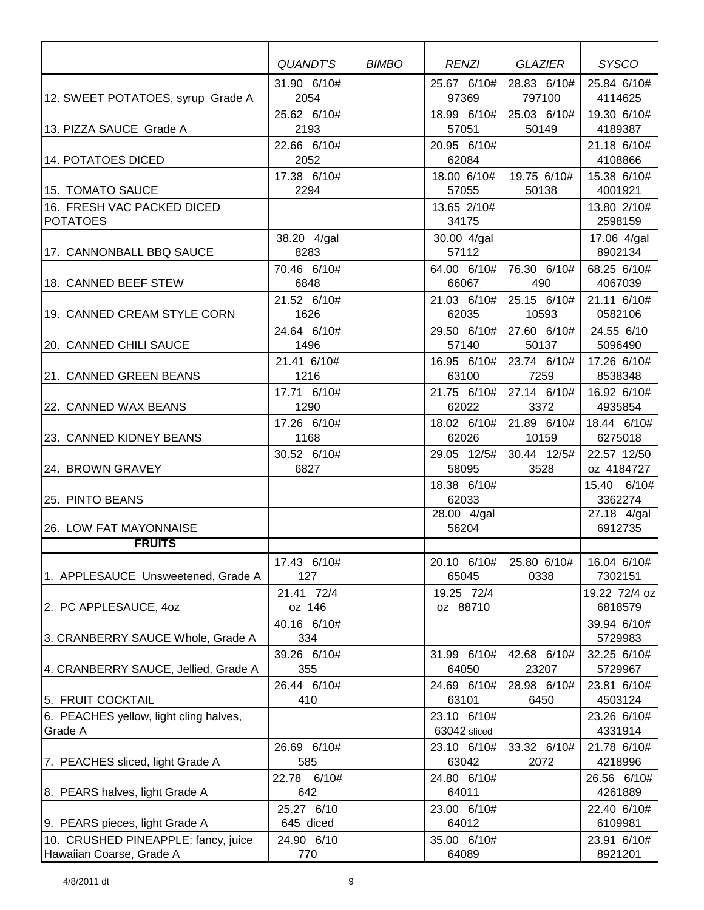|                                        | QUANDT'S            | <b>BIMBO</b> | <b>RENZI</b>         | GLAZIER             | <b>SYSCO</b>           |
|----------------------------------------|---------------------|--------------|----------------------|---------------------|------------------------|
|                                        | 31.90 6/10#         |              | 25.67 6/10#          | 28.83 6/10#         | 25.84 6/10#            |
| 12. SWEET POTATOES, syrup Grade A      | 2054                |              | 97369                | 797100              | 4114625                |
|                                        | 25.62 6/10#         |              | 18.99 6/10#          | 25.03 6/10#         | 19.30 6/10#            |
| 13. PIZZA SAUCE Grade A                | 2193                |              | 57051                | 50149               | 4189387                |
|                                        | 22.66 6/10#         |              | 20.95 6/10#          |                     | 21.18 6/10#            |
| 14. POTATOES DICED                     | 2052<br>17.38 6/10# |              | 62084<br>18.00 6/10# | 19.75 6/10#         | 4108866<br>15.38 6/10# |
| 15. TOMATO SAUCE                       | 2294                |              | 57055                | 50138               | 4001921                |
| 16. FRESH VAC PACKED DICED             |                     |              | 13.65 2/10#          |                     | 13.80 2/10#            |
| <b>POTATOES</b>                        |                     |              | 34175                |                     | 2598159                |
|                                        | 38.20 4/gal         |              | 30.00 4/gal          |                     | 17.06 4/gal            |
| 17. CANNONBALL BBQ SAUCE               | 8283                |              | 57112                |                     | 8902134                |
| 18. CANNED BEEF STEW                   | 70.46 6/10#<br>6848 |              | 64.00 6/10#<br>66067 | 76.30 6/10#<br>490  | 68.25 6/10#<br>4067039 |
|                                        | 21.52 6/10#         |              | 21.03 6/10#          | 25.15 6/10#         | 21.11 6/10#            |
| 19. CANNED CREAM STYLE CORN            | 1626                |              | 62035                | 10593               | 0582106                |
|                                        | 24.64 6/10#         |              | 29.50 6/10#          | 27.60 6/10#         | 24.55 6/10             |
| 20. CANNED CHILI SAUCE                 | 1496                |              | 57140                | 50137               | 5096490                |
|                                        | 21.41 6/10#         |              | 16.95 6/10#          | 23.74 6/10#         | 17.26 6/10#            |
| 21. CANNED GREEN BEANS                 | 1216                |              | 63100                | 7259                | 8538348                |
| 22. CANNED WAX BEANS                   | 17.71 6/10#<br>1290 |              | 21.75 6/10#<br>62022 | 27.14 6/10#<br>3372 | 16.92 6/10#<br>4935854 |
|                                        | 17.26 6/10#         |              | 18.02 6/10#          | 21.89 6/10#         | 18.44 6/10#            |
| 23. CANNED KIDNEY BEANS                | 1168                |              | 62026                | 10159               | 6275018                |
|                                        | 30.52 6/10#         |              | 29.05 12/5#          | 30.44 12/5#         | 22.57 12/50            |
| 24. BROWN GRAVEY                       | 6827                |              | 58095                | 3528                | oz 4184727             |
|                                        |                     |              | 18.38 6/10#          |                     | 15.40 6/10#            |
| 25. PINTO BEANS                        |                     |              | 62033<br>28.00 4/gal |                     | 3362274<br>27.18 4/gal |
| 26. LOW FAT MAYONNAISE                 |                     |              | 56204                |                     | 6912735                |
| <u>FRUITS</u>                          |                     |              |                      |                     |                        |
|                                        | 17.43 6/10#         |              | 20.10 6/10#          | 25.80 6/10#         | 16.04 6/10#            |
| 1. APPLESAUCE Unsweetened, Grade A     | 127                 |              | 65045                | 0338                | 7302151                |
|                                        | 21.41 72/4          |              | 19.25 72/4           |                     | 19.22 72/4 oz          |
| 2. PC APPLESAUCE, 40Z                  | oz 146              |              | oz 88710             |                     | 6818579                |
| 3. CRANBERRY SAUCE Whole, Grade A      | 40.16 6/10#<br>334  |              |                      |                     | 39.94 6/10#<br>5729983 |
|                                        | 39.26 6/10#         |              | 31.99 6/10#          | 42.68 6/10#         | 32.25 6/10#            |
| 4. CRANBERRY SAUCE, Jellied, Grade A   | 355                 |              | 64050                | 23207               | 5729967                |
|                                        | 26.44 6/10#         |              | 24.69 6/10#          | 28.98 6/10#         | 23.81 6/10#            |
| 5. FRUIT COCKTAIL                      | 410                 |              | 63101                | 6450                | 4503124                |
| 6. PEACHES yellow, light cling halves, |                     |              | 23.10 6/10#          |                     | 23.26 6/10#            |
| Grade A                                |                     |              | 63042 sliced         |                     | 4331914                |
| 7. PEACHES sliced, light Grade A       | 26.69 6/10#<br>585  |              | 23.10 6/10#<br>63042 | 33.32 6/10#<br>2072 | 21.78 6/10#<br>4218996 |
|                                        | 22.78 6/10#         |              | 24.80 6/10#          |                     | 26.56 6/10#            |
| 8. PEARS halves, light Grade A         | 642                 |              | 64011                |                     | 4261889                |
|                                        | 25.27 6/10          |              | 23.00 6/10#          |                     | 22.40 6/10#            |
| 9. PEARS pieces, light Grade A         | 645 diced           |              | 64012                |                     | 6109981                |
| 10. CRUSHED PINEAPPLE: fancy, juice    | 24.90 6/10          |              | 35.00 6/10#          |                     | 23.91 6/10#            |
| Hawaiian Coarse, Grade A               | 770                 |              | 64089                |                     | 8921201                |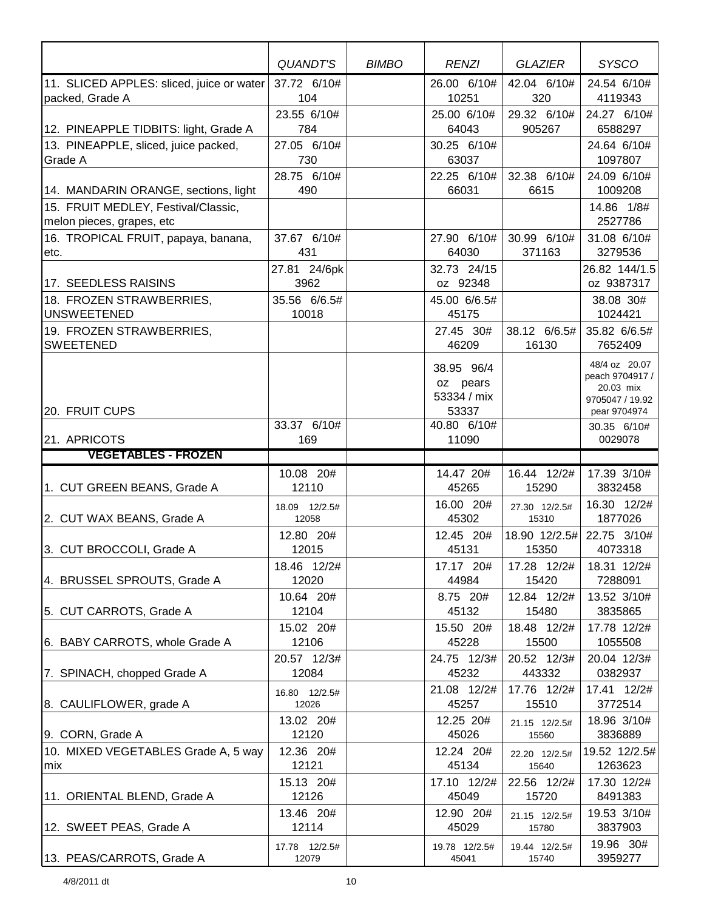|                                                                  | QUANDT'S                | <b>BIMBO</b> | <b>RENZI</b>                          | <b>GLAZIER</b>         | <b>SYSCO</b>                                                     |
|------------------------------------------------------------------|-------------------------|--------------|---------------------------------------|------------------------|------------------------------------------------------------------|
| 11. SLICED APPLES: sliced, juice or water<br>packed, Grade A     | 37.72 6/10#<br>104      |              | 26.00 6/10#<br>10251                  | 42.04 6/10#<br>320     | 24.54 6/10#<br>4119343                                           |
| 12. PINEAPPLE TIDBITS: light, Grade A                            | 23.55 6/10#<br>784      |              | 25.00 6/10#<br>64043                  | 29.32 6/10#<br>905267  | 24.27 6/10#<br>6588297                                           |
| 13. PINEAPPLE, sliced, juice packed,<br>Grade A                  | 27.05 6/10#<br>730      |              | 30.25 6/10#<br>63037                  |                        | 24.64 6/10#<br>1097807                                           |
| 14. MANDARIN ORANGE, sections, light                             | 28.75 6/10#<br>490      |              | 22.25 6/10#<br>66031                  | 32.38 6/10#<br>6615    | 24.09 6/10#<br>1009208                                           |
| 15. FRUIT MEDLEY, Festival/Classic,<br>melon pieces, grapes, etc |                         |              |                                       |                        | 14.86 1/8#<br>2527786                                            |
| 16. TROPICAL FRUIT, papaya, banana,<br>etc.                      | 37.67 6/10#<br>431      |              | 27.90 6/10#<br>64030                  | 30.99 6/10#<br>371163  | 31.08 6/10#<br>3279536                                           |
| 17. SEEDLESS RAISINS                                             | 27.81 24/6pk<br>3962    |              | 32.73 24/15<br>oz 92348               |                        | 26.82 144/1.5<br>oz 9387317                                      |
| 18. FROZEN STRAWBERRIES,<br><b>UNSWEETENED</b>                   | 35.56 6/6.5#<br>10018   |              | 45.00 6/6.5#<br>45175                 |                        | 38.08 30#<br>1024421                                             |
| 19. FROZEN STRAWBERRIES,<br><b>SWEETENED</b>                     |                         |              | 27.45 30#<br>46209                    | 38.12 6/6.5#<br>16130  | 35.82 6/6.5#<br>7652409                                          |
|                                                                  |                         |              | 38.95 96/4<br>oz pears<br>53334 / mix |                        | 48/4 oz 20.07<br>peach 9704917 /<br>20.03 mix<br>9705047 / 19.92 |
| 20. FRUIT CUPS                                                   | 33.37 6/10#             |              | 53337<br>40.80 6/10#                  |                        | pear 9704974<br>30.35 6/10#                                      |
| 21. APRICOTS<br><b>VEGETABLES - FROZEN</b>                       | 169                     |              | 11090                                 |                        | 0029078                                                          |
|                                                                  |                         |              |                                       |                        |                                                                  |
| 1. CUT GREEN BEANS, Grade A                                      | 10.08 20#<br>12110      |              | 14.47 20#<br>45265                    | 16.44 12/2#<br>15290   | 17.39 3/10#<br>3832458                                           |
| 2. CUT WAX BEANS, Grade A                                        | 18.09 12/2.5#<br>12058  |              | 16.00 20#<br>45302                    | 27.30 12/2.5#<br>15310 | 16.30 12/2#<br>1877026                                           |
| 3. CUT BROCCOLI, Grade A                                         | 12.80 20#<br>12015      |              | 12.45 20#<br>45131                    | 18.90 12/2.5#<br>15350 | 22.75 3/10#<br>4073318                                           |
| 4. BRUSSEL SPROUTS, Grade A                                      | 18.46 12/2#<br>12020    |              | 17.17 20#<br>44984                    | 17.28 12/2#<br>15420   | 18.31 12/2#<br>7288091                                           |
| 5. CUT CARROTS, Grade A                                          | 10.64 20#<br>12104      |              | 8.75 20#<br>45132                     | 12.84 12/2#<br>15480   | 13.52 3/10#<br>3835865                                           |
| 6. BABY CARROTS, whole Grade A                                   | 15.02 20#<br>12106      |              | 15.50 20#<br>45228                    | 18.48 12/2#<br>15500   | 17.78 12/2#<br>1055508                                           |
| 7. SPINACH, chopped Grade A                                      | 20.57 12/3#<br>12084    |              | 24.75 12/3#<br>45232                  | 20.52 12/3#<br>443332  | 20.04 12/3#<br>0382937                                           |
| 8. CAULIFLOWER, grade A                                          | 16.80 12/2.5#<br>12026  |              | 21.08 12/2#<br>45257                  | 17.76 12/2#<br>15510   | 17.41 12/2#<br>3772514                                           |
| 9. CORN, Grade A                                                 | 13.02 20#<br>12120      |              | 12.25 20#<br>45026                    | 21.15 12/2.5#<br>15560 | 18.96 3/10#<br>3836889                                           |
| 10. MIXED VEGETABLES Grade A, 5 way<br>mix                       | 12.36 20#<br>12121      |              | 12.24 20#<br>45134                    | 22.20 12/2.5#<br>15640 | 19.52 12/2.5#<br>1263623                                         |
| 11. ORIENTAL BLEND, Grade A                                      | 15.13 20#<br>12126      |              | 17.10 12/2#<br>45049                  | 22.56 12/2#<br>15720   | 17.30 12/2#<br>8491383                                           |
| 12. SWEET PEAS, Grade A                                          | 13.46 20#<br>12114      |              | 12.90 20#<br>45029                    | 21.15 12/2.5#<br>15780 | 19.53 3/10#<br>3837903                                           |
| 13. PEAS/CARROTS, Grade A                                        | 17.78  12/2.5#<br>12079 |              | 19.78 12/2.5#<br>45041                | 19.44 12/2.5#<br>15740 | 19.96 30#<br>3959277                                             |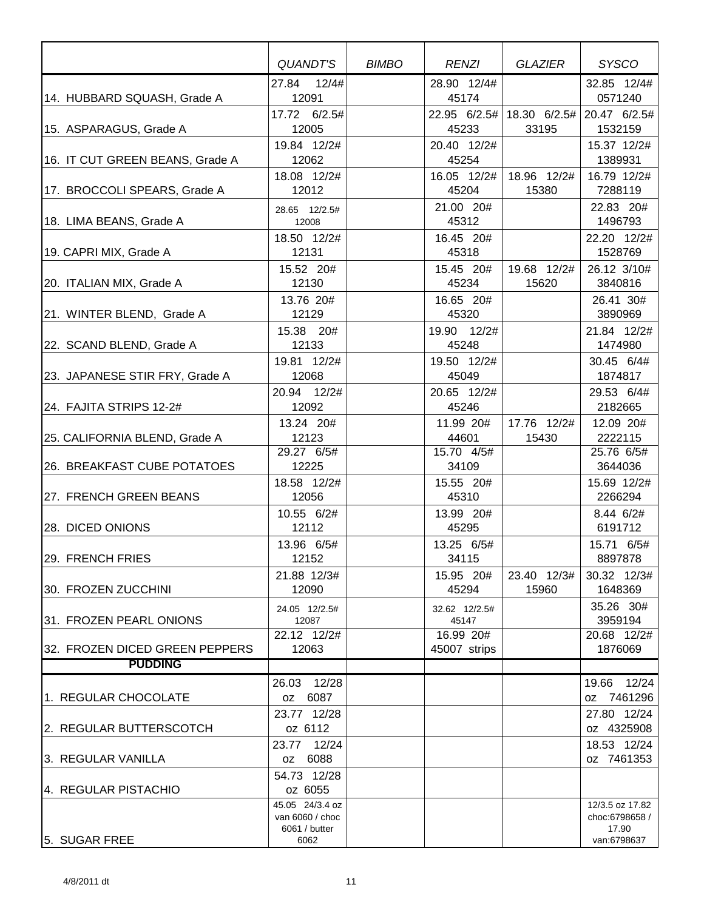|                                 | QUANDT'S                         | <b>BIMBO</b> | <b>RENZI</b>           | GLAZIER               | <b>SYSCO</b>              |
|---------------------------------|----------------------------------|--------------|------------------------|-----------------------|---------------------------|
|                                 | 27.84 12/4#                      |              | 28.90 12/4#            |                       | 32.85 12/4#               |
| 14. HUBBARD SQUASH, Grade A     | 12091                            |              | 45174                  |                       | 0571240                   |
| 15. ASPARAGUS, Grade A          | 17.72 6/2.5#<br>12005            |              | 22.95 6/2.5#<br>45233  | 18.30 6/2.5#<br>33195 | 20.47 6/2.5#<br>1532159   |
| 16. IT CUT GREEN BEANS, Grade A | 19.84 12/2#<br>12062             |              | 20.40 12/2#<br>45254   |                       | 15.37 12/2#<br>1389931    |
| 17. BROCCOLI SPEARS, Grade A    | 18.08 12/2#<br>12012             |              | 16.05 12/2#<br>45204   | 18.96 12/2#<br>15380  | 16.79 12/2#<br>7288119    |
| 18. LIMA BEANS, Grade A         | 28.65 12/2.5#<br>12008           |              | 21.00 20#<br>45312     |                       | 22.83 20#<br>1496793      |
|                                 | 18.50 12/2#                      |              | 16.45 20#              |                       | 22.20 12/2#               |
| 19. CAPRI MIX, Grade A          | 12131                            |              | 45318                  |                       | 1528769                   |
| 20. ITALIAN MIX, Grade A        | 15.52 20#<br>12130               |              | 15.45 20#<br>45234     | 19.68 12/2#<br>15620  | 26.12 3/10#<br>3840816    |
| 21. WINTER BLEND, Grade A       | 13.76 20#<br>12129               |              | 16.65 20#<br>45320     |                       | 26.41 30#<br>3890969      |
| 22. SCAND BLEND, Grade A        | 15.38 20#<br>12133               |              | 19.90 12/2#<br>45248   |                       | 21.84 12/2#<br>1474980    |
| 23. JAPANESE STIR FRY, Grade A  | 19.81 12/2#<br>12068             |              | 19.50 12/2#<br>45049   |                       | 30.45 6/4#<br>1874817     |
|                                 | 20.94 12/2#                      |              | 20.65 12/2#            |                       | 29.53 6/4#                |
| 24. FAJITA STRIPS 12-2#         | 12092                            |              | 45246                  |                       | 2182665                   |
| 25. CALIFORNIA BLEND, Grade A   | 13.24 20#<br>12123               |              | 11.99 20#<br>44601     | 17.76 12/2#<br>15430  | 12.09 20#<br>2222115      |
|                                 | 29.27 6/5#                       |              | 15.70 4/5#             |                       | 25.76 6/5#                |
| 26. BREAKFAST CUBE POTATOES     | 12225                            |              | 34109                  |                       | 3644036                   |
| 27. FRENCH GREEN BEANS          | 18.58 12/2#<br>12056             |              | 15.55 20#<br>45310     |                       | 15.69 12/2#<br>2266294    |
|                                 | 10.55 6/2#                       |              | 13.99 20#              |                       | 8.44 6/2#                 |
| 28. DICED ONIONS                | 12112                            |              | 45295                  |                       | 6191712                   |
|                                 | 13.96 6/5#                       |              | 13.25 6/5#             |                       | 15.71 6/5#                |
| 29. FRENCH FRIES                | 12152                            |              | 34115                  |                       | 8897878                   |
| 30. FROZEN ZUCCHINI             | 21.88 12/3#<br>12090             |              | 15.95 20#<br>45294     | 23.40 12/3#<br>15960  | 30.32 12/3#<br>1648369    |
| 31. FROZEN PEARL ONIONS         | 24.05 12/2.5#<br>12087           |              | 32.62 12/2.5#<br>45147 |                       | 35.26 30#<br>3959194      |
|                                 | 22.12 12/2#                      |              | 16.99 20#              |                       | 20.68 12/2#               |
| 32. FROZEN DICED GREEN PEPPERS  | 12063                            |              | 45007 strips           |                       | 1876069                   |
| <b>PUDDING</b>                  |                                  |              |                        |                       |                           |
|                                 | 26.03 12/28                      |              |                        |                       | 19.66 12/24               |
| 1. REGULAR CHOCOLATE            | oz 6087                          |              |                        |                       | oz 7461296                |
|                                 | 23.77 12/28                      |              |                        |                       | 27.80 12/24               |
| 2. REGULAR BUTTERSCOTCH         | oz 6112                          |              |                        |                       | oz 4325908                |
| 3. REGULAR VANILLA              | 23.77 12/24<br>oz 6088           |              |                        |                       | 18.53 12/24<br>oz 7461353 |
|                                 | 54.73 12/28                      |              |                        |                       |                           |
| 4. REGULAR PISTACHIO            | oz 6055                          |              |                        |                       |                           |
|                                 | 45.05 24/3.4 oz                  |              |                        |                       | 12/3.5 oz 17.82           |
|                                 | van 6060 / choc<br>6061 / butter |              |                        |                       | choc:6798658 /<br>17.90   |
| 5. SUGAR FREE                   | 6062                             |              |                        |                       | van:6798637               |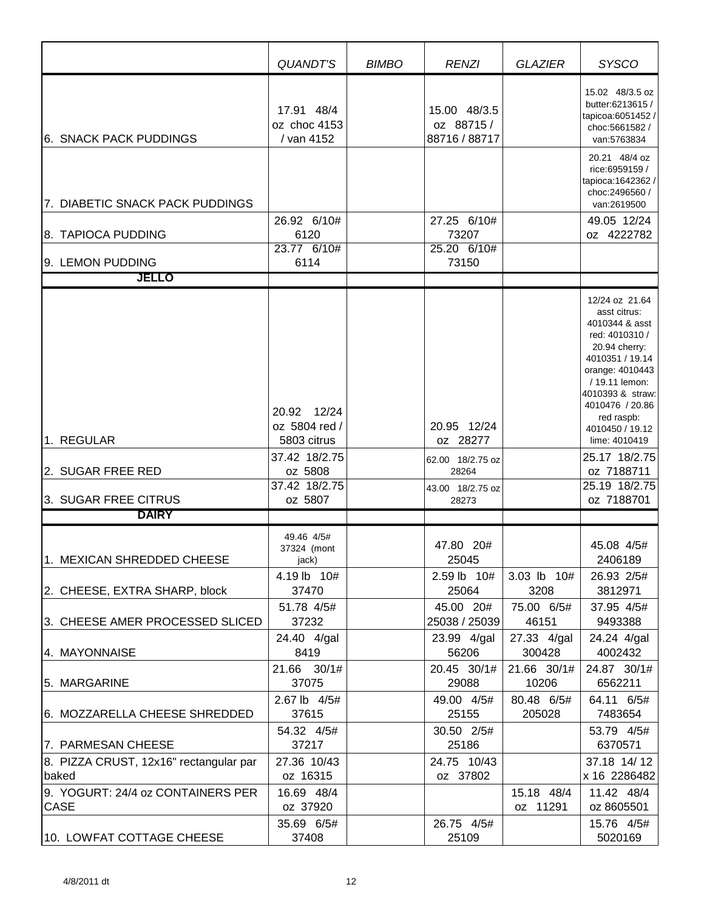|                                                 | QUANDT'S                                 | <b>BIMBO</b> | <b>RENZI</b>                               | <b>GLAZIER</b>         | <b>SYSCO</b>                                                                                                                                                                                     |
|-------------------------------------------------|------------------------------------------|--------------|--------------------------------------------|------------------------|--------------------------------------------------------------------------------------------------------------------------------------------------------------------------------------------------|
| <b>6. SNACK PACK PUDDINGS</b>                   | 17.91 48/4<br>oz choc 4153<br>/ van 4152 |              | 15.00 48/3.5<br>oz 88715/<br>88716 / 88717 |                        | 15.02 48/3.5 oz<br>butter:6213615 /<br>tapicoa:6051452/<br>choc:5661582/<br>van:5763834                                                                                                          |
| 7. DIABETIC SNACK PACK PUDDINGS                 |                                          |              |                                            |                        | 20.21 48/4 oz<br>rice:6959159 /<br>tapioca: 1642362 /<br>choc:2496560 /<br>van:2619500                                                                                                           |
| 8. TAPIOCA PUDDING                              | 26.92 6/10#<br>6120                      |              | 27.25 6/10#<br>73207                       |                        | 49.05 12/24<br>oz 4222782                                                                                                                                                                        |
| 9. LEMON PUDDING                                | 23.77 6/10#<br>6114                      |              | 25.20 6/10#<br>73150                       |                        |                                                                                                                                                                                                  |
| <b>JELLO</b>                                    |                                          |              |                                            |                        |                                                                                                                                                                                                  |
|                                                 | 20.92 12/24<br>oz 5804 red /             |              | 20.95 12/24                                |                        | 12/24 oz 21.64<br>asst citrus:<br>4010344 & asst<br>red: 4010310 /<br>20.94 cherry:<br>4010351 / 19.14<br>orange: 4010443<br>/ 19.11 lemon:<br>4010393 & straw:<br>4010476 / 20.86<br>red raspb: |
| 1. REGULAR                                      | 5803 citrus                              |              | oz 28277                                   |                        | 4010450 / 19.12<br>lime: 4010419                                                                                                                                                                 |
| 2. SUGAR FREE RED                               | 37.42 18/2.75<br>oz 5808                 |              | 62.00 18/2.75 oz<br>28264                  |                        | 25.17 18/2.75<br>oz 7188711                                                                                                                                                                      |
| 3. SUGAR FREE CITRUS                            | 37.42 18/2.75<br>oz 5807                 |              | 43.00 18/2.75 oz<br>28273                  |                        | 25.19 18/2.75<br>oz 7188701                                                                                                                                                                      |
| <b>DAIRY</b>                                    |                                          |              |                                            |                        |                                                                                                                                                                                                  |
| 1. MEXICAN SHREDDED CHEESE                      | 49.46 4/5#<br>37324 (mont<br>jack)       |              | 47.80 20#<br>25045                         |                        | 45.08 4/5#<br>2406189                                                                                                                                                                            |
| 2. CHEESE, EXTRA SHARP, block                   | 4.19 lb 10#<br>37470                     |              | 2.59 lb 10#<br>25064                       | 3.03 lb 10#<br>3208    | 26.93 2/5#<br>3812971                                                                                                                                                                            |
| 3. CHEESE AMER PROCESSED SLICED                 | 51.78 4/5#<br>37232                      |              | 45.00 20#<br>25038 / 25039                 | 75.00 6/5#<br>46151    | 37.95 4/5#<br>9493388                                                                                                                                                                            |
| 4. MAYONNAISE                                   | 24.40 4/gal<br>8419                      |              | 23.99 4/gal<br>56206                       | 27.33 4/gal<br>300428  | 24.24 4/gal<br>4002432                                                                                                                                                                           |
| 5. MARGARINE                                    | 21.66 30/1#<br>37075                     |              | 20.45 30/1#<br>29088                       | 21.66 30/1#<br>10206   | 24.87 30/1#<br>6562211                                                                                                                                                                           |
| 6. MOZZARELLA CHEESE SHREDDED                   | 2.67 lb 4/5#<br>37615                    |              | 49.00 4/5#<br>25155                        | 80.48 6/5#<br>205028   | 64.11 6/5#<br>7483654                                                                                                                                                                            |
| 7. PARMESAN CHEESE                              | 54.32 4/5#<br>37217                      |              | 30.50 2/5#<br>25186                        |                        | 53.79 4/5#<br>6370571                                                                                                                                                                            |
| 8. PIZZA CRUST, 12x16" rectangular par<br>baked | 27.36 10/43<br>oz 16315                  |              | 24.75 10/43<br>oz 37802                    |                        | 37.18 14/12<br>x 16 2286482                                                                                                                                                                      |
| 9. YOGURT: 24/4 oz CONTAINERS PER<br>CASE       | 16.69 48/4<br>oz 37920                   |              |                                            | 15.18 48/4<br>oz 11291 | 11.42 48/4<br>oz 8605501                                                                                                                                                                         |
| 10. LOWFAT COTTAGE CHEESE                       | 35.69 6/5#<br>37408                      |              | 26.75 4/5#<br>25109                        |                        | 15.76 4/5#<br>5020169                                                                                                                                                                            |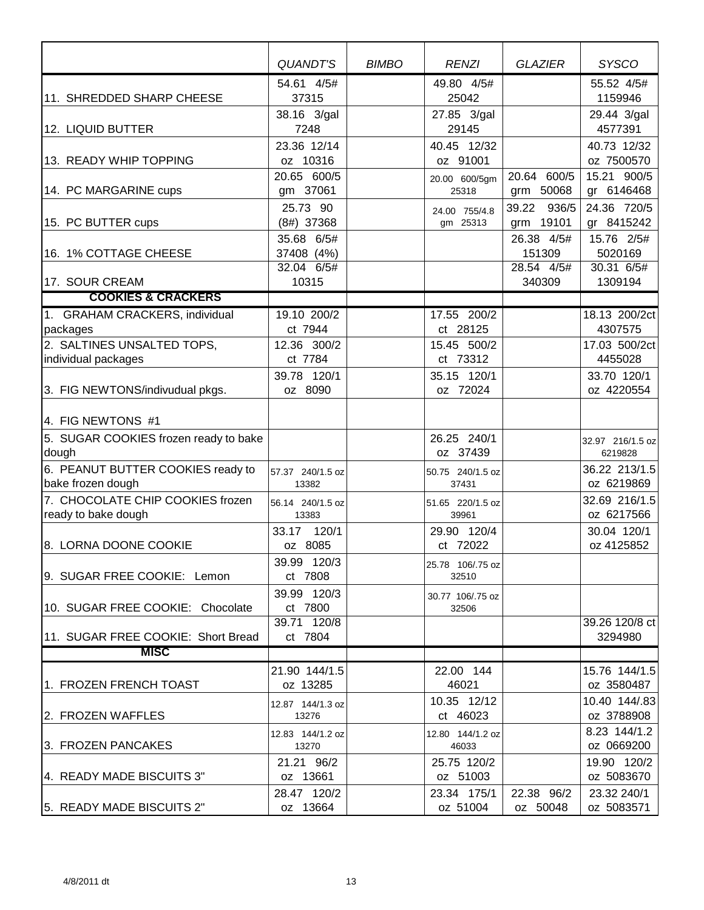|                                                         | QUANDT'S                               | <b>BIMBO</b> | <b>RENZI</b>              | <b>GLAZIER</b>                     | <b>SYSCO</b>                        |
|---------------------------------------------------------|----------------------------------------|--------------|---------------------------|------------------------------------|-------------------------------------|
| 11. SHREDDED SHARP CHEESE                               | 54.61 4/5#<br>37315                    |              | 49.80 4/5#<br>25042       |                                    | 55.52 4/5#<br>1159946               |
| 12. LIQUID BUTTER                                       | 38.16 3/gal<br>7248                    |              | 27.85 3/gal<br>29145      |                                    | 29.44 3/gal<br>4577391              |
| 13. READY WHIP TOPPING                                  | 23.36 12/14<br>oz 10316                |              | 40.45 12/32<br>oz 91001   |                                    | 40.73 12/32<br>oz 7500570           |
| 14. PC MARGARINE cups                                   | 20.65 600/5<br>gm 37061                |              | 20.00 600/5gm<br>25318    | 20.64 600/5<br>grm 50068           | 15.21 900/5<br>gr 6146468           |
| 15. PC BUTTER cups                                      | 25.73 90<br>$(8#)$ 37368               |              | 24.00 755/4.8<br>gm 25313 | 39.22 936/5<br>grm 19101           | 24.36 720/5<br>gr 8415242           |
| 16. 1% COTTAGE CHEESE                                   | 35.68 6/5#<br>37408 (4%)<br>32.04 6/5# |              |                           | 26.38 4/5#<br>151309<br>28.54 4/5# | 15.76 2/5#<br>5020169<br>30.31 6/5# |
| 17. SOUR CREAM                                          | 10315                                  |              |                           | 340309                             | 1309194                             |
| <b>COOKIES &amp; CRACKERS</b>                           |                                        |              |                           |                                    |                                     |
| 1. GRAHAM CRACKERS, individual<br>packages              | 19.10 200/2<br>ct 7944                 |              | 17.55 200/2<br>ct 28125   |                                    | 18.13 200/2ct<br>4307575            |
| 2. SALTINES UNSALTED TOPS,<br>individual packages       | 12.36 300/2<br>ct 7784                 |              | 15.45 500/2<br>ct 73312   |                                    | 17.03 500/2ct<br>4455028            |
| 3. FIG NEWTONS/indivudual pkgs.                         | 39.78 120/1<br>oz 8090                 |              | 35.15 120/1<br>oz 72024   |                                    | 33.70 120/1<br>oz 4220554           |
| 4. FIG NEWTONS #1                                       |                                        |              |                           |                                    |                                     |
| 5. SUGAR COOKIES frozen ready to bake<br>dough          |                                        |              | 26.25 240/1<br>oz 37439   |                                    | 32.97 216/1.5 oz<br>6219828         |
| 6. PEANUT BUTTER COOKIES ready to<br>bake frozen dough  | 57.37 240/1.5 oz<br>13382              |              | 50.75 240/1.5 oz<br>37431 |                                    | 36.22 213/1.5<br>oz 6219869         |
| 7. CHOCOLATE CHIP COOKIES frozen<br>ready to bake dough | 56.14 240/1.5 oz<br>13383              |              | 51.65 220/1.5 oz<br>39961 |                                    | 32.69 216/1.5<br>oz 6217566         |
| 8. LORNA DOONE COOKIE                                   | 33.17 120/1<br>oz 8085                 |              | 29.90 120/4<br>ct 72022   |                                    | 30.04 120/1<br>oz 4125852           |
| 9. SUGAR FREE COOKIE: Lemon                             | 39.99 120/3<br>ct 7808                 |              | 25.78 106/.75 oz<br>32510 |                                    |                                     |
| 10. SUGAR FREE COOKIE: Chocolate                        | 39.99 120/3<br>ct 7800                 |              | 30.77 106/.75 oz<br>32506 |                                    |                                     |
| 11. SUGAR FREE COOKIE: Short Bread                      | 39.71 120/8<br>ct 7804                 |              |                           |                                    | 39.26 120/8 ct<br>3294980           |
| <b>MISC</b>                                             |                                        |              |                           |                                    |                                     |
| 1. FROZEN FRENCH TOAST                                  | 21.90 144/1.5<br>oz 13285              |              | 22.00 144<br>46021        |                                    | 15.76 144/1.5<br>oz 3580487         |
| 2. FROZEN WAFFLES                                       | 12.87 144/1.3 oz<br>13276              |              | 10.35 12/12<br>ct 46023   |                                    | 10.40 144/.83<br>oz 3788908         |
| 3. FROZEN PANCAKES                                      | 12.83 144/1.2 oz<br>13270              |              | 12.80 144/1.2 oz<br>46033 |                                    | 8.23 144/1.2<br>oz 0669200          |
| 4. READY MADE BISCUITS 3"                               | 21.21 96/2<br>oz 13661                 |              | 25.75 120/2<br>oz 51003   |                                    | 19.90 120/2<br>oz 5083670           |
| 5. READY MADE BISCUITS 2"                               | 28.47 120/2<br>oz 13664                |              | 23.34 175/1<br>oz 51004   | 22.38 96/2<br>oz 50048             | 23.32 240/1<br>oz 5083571           |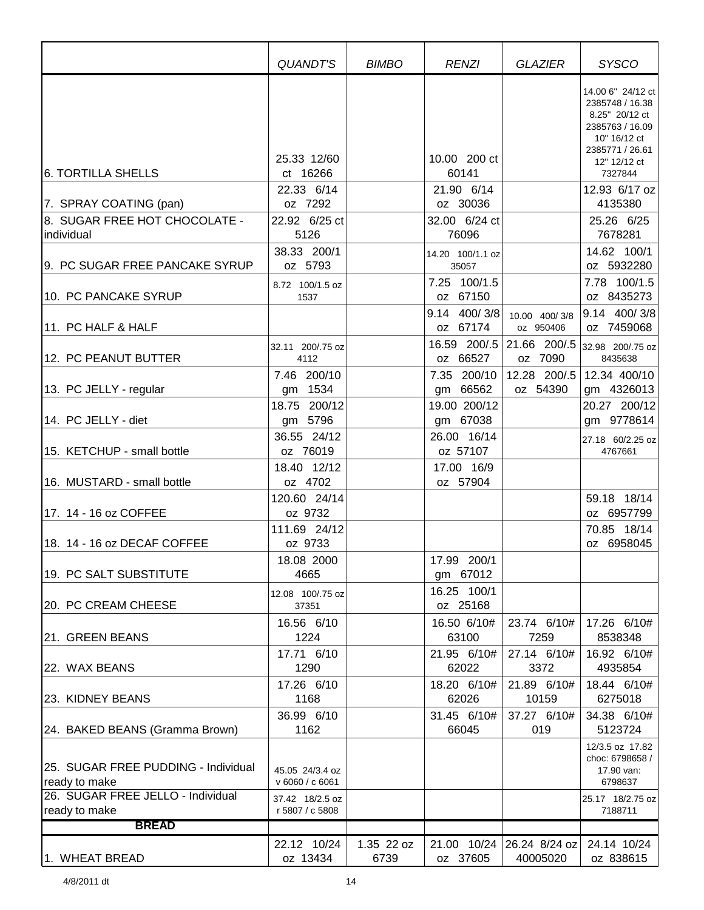|                                                                       | QUANDT'S                           | <b>BIMBO</b>       | <b>RENZI</b>                                          | GLAZIER                               | <b>SYSCO</b>                                                                                                                            |
|-----------------------------------------------------------------------|------------------------------------|--------------------|-------------------------------------------------------|---------------------------------------|-----------------------------------------------------------------------------------------------------------------------------------------|
| 6. TORTILLA SHELLS                                                    | 25.33 12/60<br>ct 16266            |                    | 10.00 200 ct<br>60141                                 |                                       | 14.00 6" 24/12 ct<br>2385748 / 16.38<br>8.25" 20/12 ct<br>2385763 / 16.09<br>10" 16/12 ct<br>2385771 / 26.61<br>12" 12/12 ct<br>7327844 |
|                                                                       | 22.33 6/14                         |                    | 21.90 6/14                                            |                                       | 12.93 6/17 oz                                                                                                                           |
| 7. SPRAY COATING (pan)<br>8. SUGAR FREE HOT CHOCOLATE -<br>individual | oz 7292<br>22.92 6/25 ct<br>5126   |                    | oz 30036<br>32.00 6/24 ct<br>76096                    |                                       | 4135380<br>25.26 6/25<br>7678281                                                                                                        |
| 9. PC SUGAR FREE PANCAKE SYRUP                                        | 38.33 200/1<br>oz 5793             |                    | 14.20 100/1.1 oz<br>35057                             |                                       | 14.62 100/1<br>oz 5932280                                                                                                               |
| 10. PC PANCAKE SYRUP                                                  | 8.72 100/1.5 oz<br>1537            |                    | 7.25 100/1.5<br>oz 67150                              |                                       | 7.78 100/1.5<br>oz 8435273                                                                                                              |
| 11. PC HALF & HALF                                                    | 32.11 200/.75 oz                   |                    | 9.14 400/3/8<br>oz 67174<br>16.59 200/.5 21.66 200/.5 | 10.00 400/3/8<br>oz 950406            | 9.14 400/3/8<br>oz 7459068<br>32.98 200/.75 oz                                                                                          |
| 12. PC PEANUT BUTTER                                                  | 4112                               |                    | oz 66527                                              | oz 7090                               | 8435638                                                                                                                                 |
| 13. PC JELLY - regular                                                | 7.46 200/10<br>gm 1534             |                    | 7.35 200/10<br>gm 66562                               | 12.28 200/.5<br>oz 54390              | 12.34 400/10<br>gm 4326013                                                                                                              |
| 14. PC JELLY - diet                                                   | 18.75 200/12<br>gm 5796            |                    | 19.00 200/12<br>gm 67038                              |                                       | 20.27 200/12<br>gm 9778614                                                                                                              |
| 15. KETCHUP - small bottle                                            | 36.55 24/12<br>oz 76019            |                    | 26.00 16/14<br>oz 57107                               |                                       | 27.18 60/2.25 oz<br>4767661                                                                                                             |
| 16. MUSTARD - small bottle                                            | 18.40 12/12<br>oz 4702             |                    | 17.00 16/9<br>oz 57904                                |                                       |                                                                                                                                         |
| 17. 14 - 16 oz COFFEE                                                 | 120.60 24/14<br>oz 9732            |                    |                                                       |                                       | 59.18 18/14<br>oz 6957799                                                                                                               |
| 18. 14 - 16 oz DECAF COFFEE                                           | 111.69 24/12<br>oz 9733            |                    |                                                       |                                       | 70.85 18/14<br>oz 6958045                                                                                                               |
| 19. PC SALT SUBSTITUTE                                                | 18.08 2000<br>4665                 |                    | 17.99 200/1<br>gm 67012                               |                                       |                                                                                                                                         |
| 20. PC CREAM CHEESE                                                   | 12.08 100/.75 oz<br>37351          |                    | 16.25 100/1<br>oz 25168                               |                                       |                                                                                                                                         |
| 21. GREEN BEANS                                                       | 16.56 6/10<br>1224                 |                    | 16.50 6/10#<br>63100                                  | 23.74 6/10#<br>7259                   | 17.26 6/10#<br>8538348                                                                                                                  |
| 22. WAX BEANS                                                         | 17.71 6/10<br>1290                 |                    | 21.95 6/10#<br>62022                                  | 27.14 6/10#<br>3372                   | 16.92 6/10#<br>4935854                                                                                                                  |
| 23. KIDNEY BEANS                                                      | 17.26 6/10<br>1168                 |                    | 18.20 6/10#<br>62026                                  | 21.89 6/10#<br>10159                  | 18.44 6/10#<br>6275018                                                                                                                  |
| [24. BAKED BEANS (Gramma Brown)                                       | 36.99 6/10<br>1162                 |                    | 31.45 6/10#<br>66045                                  | 37.27 6/10#<br>019                    | 34.38 6/10#<br>5123724                                                                                                                  |
| 25. SUGAR FREE PUDDING - Individual<br>ready to make                  | 45.05 24/3.4 oz<br>v 6060 / c 6061 |                    |                                                       |                                       | 12/3.5 oz 17.82<br>choc: 6798658 /<br>17.90 van:<br>6798637                                                                             |
| 26. SUGAR FREE JELLO - Individual<br>ready to make                    | 37.42 18/2.5 oz<br>r 5807 / c 5808 |                    |                                                       |                                       | 25.17 18/2.75 oz<br>7188711                                                                                                             |
| <b>BREAD</b>                                                          |                                    |                    |                                                       |                                       |                                                                                                                                         |
| 1. WHEAT BREAD                                                        | 22.12 10/24<br>oz 13434            | 1.35 22 oz<br>6739 | oz 37605                                              | 21.00 10/24 26.24 8/24 oz<br>40005020 | 24.14 10/24<br>oz 838615                                                                                                                |